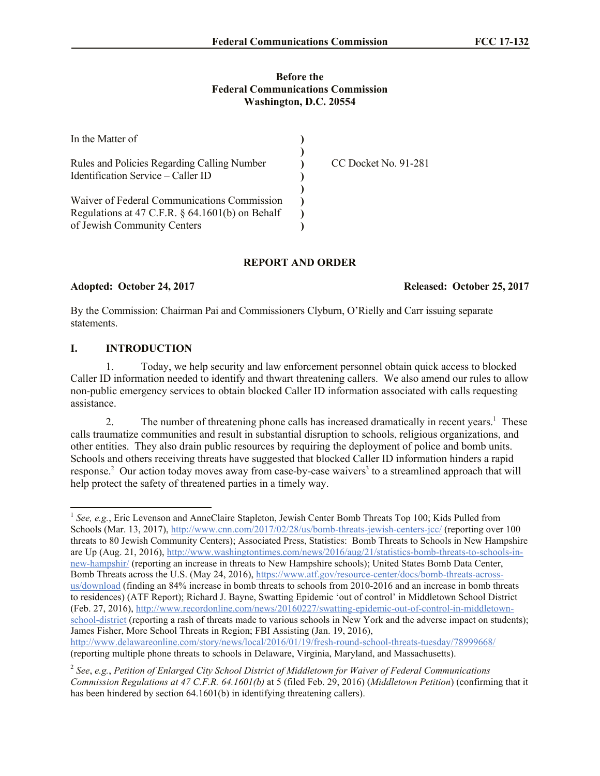## **Before the Federal Communications Commission Washington, D.C. 20554**

| In the Matter of                                                                                                                 |                      |
|----------------------------------------------------------------------------------------------------------------------------------|----------------------|
| Rules and Policies Regarding Calling Number<br>Identification Service – Caller ID                                                | CC Docket No. 91-281 |
| Waiver of Federal Communications Commission<br>Regulations at 47 C.F.R. $\S$ 64.1601(b) on Behalf<br>of Jewish Community Centers |                      |

# **REPORT AND ORDER**

#### **Adopted: October 24, 2017 Released: October 25, 2017**

By the Commission: Chairman Pai and Commissioners Clyburn, O'Rielly and Carr issuing separate statements.

# **I. INTRODUCTION**

1. Today, we help security and law enforcement personnel obtain quick access to blocked Caller ID information needed to identify and thwart threatening callers. We also amend our rules to allow non-public emergency services to obtain blocked Caller ID information associated with calls requesting assistance.

2. The number of threatening phone calls has increased dramatically in recent years.<sup>1</sup> These calls traumatize communities and result in substantial disruption to schools, religious organizations, and other entities. They also drain public resources by requiring the deployment of police and bomb units. Schools and others receiving threats have suggested that blocked Caller ID information hinders a rapid response.<sup>2</sup> Our action today moves away from case-by-case waivers<sup>3</sup> to a streamlined approach that will help protect the safety of threatened parties in a timely way.

http://www.delawareonline.com/story/news/local/2016/01/19/fresh-round-school-threats-tuesday/78999668/ (reporting multiple phone threats to schools in Delaware, Virginia, Maryland, and Massachusetts).

<sup>&</sup>lt;sup>1</sup> See, e.g., Eric Levenson and AnneClaire Stapleton, Jewish Center Bomb Threats Top 100; Kids Pulled from Schools (Mar. 13, 2017), http://www.cnn.com/2017/02/28/us/bomb-threats-jewish-centers-jcc/ (reporting over 100 threats to 80 Jewish Community Centers); Associated Press, Statistics: Bomb Threats to Schools in New Hampshire are Up (Aug. 21, 2016), http://www.washingtontimes.com/news/2016/aug/21/statistics-bomb-threats-to-schools-innew-hampshir/ (reporting an increase in threats to New Hampshire schools); United States Bomb Data Center, Bomb Threats across the U.S. (May 24, 2016), https://www.atf.gov/resource-center/docs/bomb-threats-acrossus/download (finding an 84% increase in bomb threats to schools from 2010-2016 and an increase in bomb threats to residences) (ATF Report); Richard J. Bayne, Swatting Epidemic 'out of control' in Middletown School District (Feb. 27, 2016), http://www.recordonline.com/news/20160227/swatting-epidemic-out-of-control-in-middletownschool-district (reporting a rash of threats made to various schools in New York and the adverse impact on students); James Fisher, More School Threats in Region; FBI Assisting (Jan. 19, 2016),

<sup>2</sup> *See*, *e.g.*, *Petition of Enlarged City School District of Middletown for Waiver of Federal Communications Commission Regulations at 47 C.F.R. 64.1601(b)* at 5 (filed Feb. 29, 2016) (*Middletown Petition*) (confirming that it has been hindered by section 64.1601(b) in identifying threatening callers).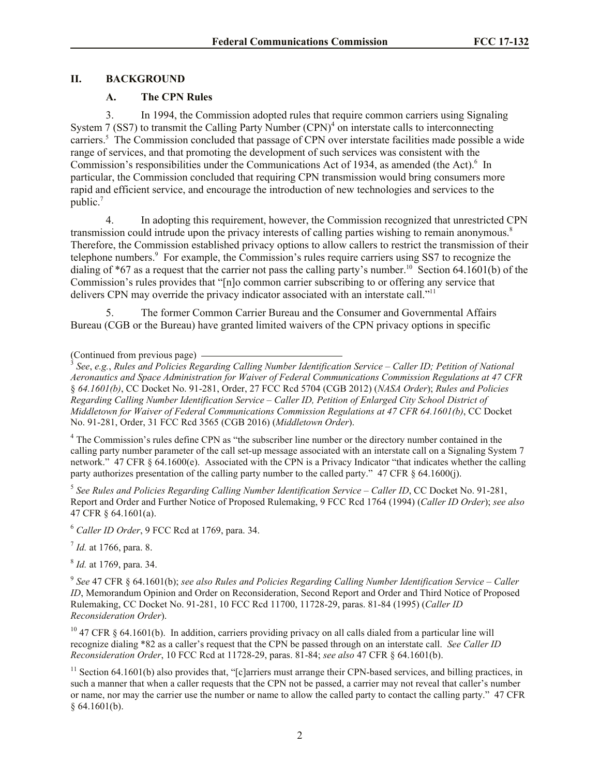# **II. BACKGROUND**

# **A. The CPN Rules**

3. In 1994, the Commission adopted rules that require common carriers using Signaling System 7 (SS7) to transmit the Calling Party Number  $(CPN)^4$  on interstate calls to interconnecting carriers.<sup>5</sup> The Commission concluded that passage of CPN over interstate facilities made possible a wide range of services, and that promoting the development of such services was consistent with the Commission's responsibilities under the Communications Act of 1934, as amended (the Act).<sup>6</sup> In particular, the Commission concluded that requiring CPN transmission would bring consumers more rapid and efficient service, and encourage the introduction of new technologies and services to the public.<sup>7</sup>

4. In adopting this requirement, however, the Commission recognized that unrestricted CPN transmission could intrude upon the privacy interests of calling parties wishing to remain anonymous.<sup>8</sup> Therefore, the Commission established privacy options to allow callers to restrict the transmission of their telephone numbers. 9 For example, the Commission's rules require carriers using SS7 to recognize the dialing of  $*67$  as a request that the carrier not pass the calling party's number.<sup>10</sup> Section 64.1601(b) of the Commission's rules provides that "[n]o common carrier subscribing to or offering any service that delivers CPN may override the privacy indicator associated with an interstate call."<sup>11</sup>

5. The former Common Carrier Bureau and the Consumer and Governmental Affairs Bureau (CGB or the Bureau) have granted limited waivers of the CPN privacy options in specific

## (Continued from previous page)

3 *See*, *e.g.*, *Rules and Policies Regarding Calling Number Identification Service – Caller ID; Petition of National Aeronautics and Space Administration for Waiver of Federal Communications Commission Regulations at 47 CFR*  § *64.1601(b)*, CC Docket No. 91-281, Order, 27 FCC Rcd 5704 (CGB 2012) (*NASA Order*); *Rules and Policies Regarding Calling Number Identification Service – Caller ID, Petition of Enlarged City School District of Middletown for Waiver of Federal Communications Commission Regulations at 47 CFR 64.1601(b)*, CC Docket No. 91-281, Order, 31 FCC Rcd 3565 (CGB 2016) (*Middletown Order*).

<sup>4</sup> The Commission's rules define CPN as "the subscriber line number or the directory number contained in the calling party number parameter of the call set-up message associated with an interstate call on a Signaling System 7 network." 47 CFR § 64.1600(e). Associated with the CPN is a Privacy Indicator "that indicates whether the calling party authorizes presentation of the calling party number to the called party." 47 CFR § 64.1600(j).

5 *See Rules and Policies Regarding Calling Number Identification Service – Caller ID*, CC Docket No. 91-281, Report and Order and Further Notice of Proposed Rulemaking, 9 FCC Rcd 1764 (1994) (*Caller ID Order*); *see also* 47 CFR § 64.1601(a).

<sup>6</sup> *Caller ID Order*, 9 FCC Rcd at 1769, para. 34.

7 *Id.* at 1766, para. 8.

8 *Id.* at 1769, para. 34.

9 *See* 47 CFR § 64.1601(b); *see also Rules and Policies Regarding Calling Number Identification Service – Caller ID*, Memorandum Opinion and Order on Reconsideration, Second Report and Order and Third Notice of Proposed Rulemaking, CC Docket No. 91-281, 10 FCC Rcd 11700, 11728-29, paras. 81-84 (1995) (*Caller ID Reconsideration Order*).

 $10$  47 CFR § 64.1601(b). In addition, carriers providing privacy on all calls dialed from a particular line will recognize dialing \*82 as a caller's request that the CPN be passed through on an interstate call. *See Caller ID Reconsideration Order*, 10 FCC Rcd at 11728-29, paras. 81-84; *see also* 47 CFR § 64.1601(b).

 $11$  Section 64.1601(b) also provides that, "[c]arriers must arrange their CPN-based services, and billing practices, in such a manner that when a caller requests that the CPN not be passed, a carrier may not reveal that caller's number or name, nor may the carrier use the number or name to allow the called party to contact the calling party." 47 CFR § 64.1601(b).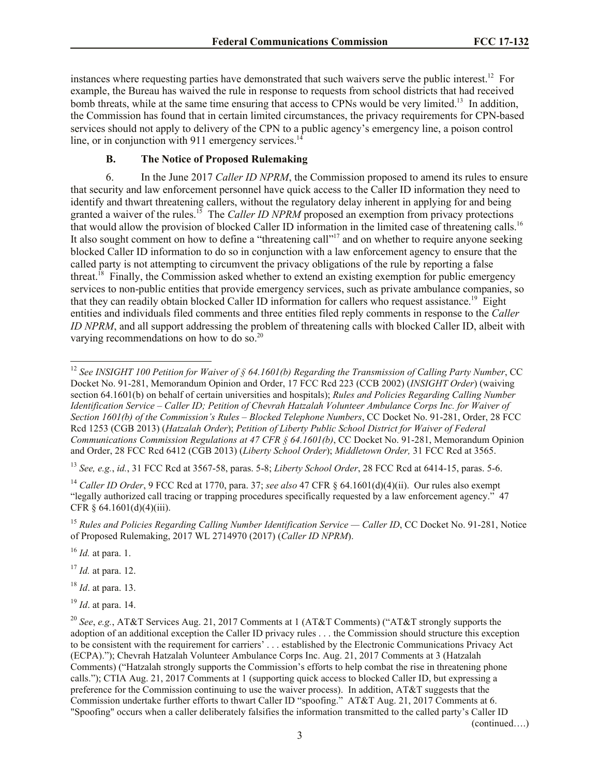instances where requesting parties have demonstrated that such waivers serve the public interest.<sup>12</sup> For example, the Bureau has waived the rule in response to requests from school districts that had received bomb threats, while at the same time ensuring that access to CPNs would be very limited.<sup>13</sup> In addition, the Commission has found that in certain limited circumstances, the privacy requirements for CPN-based services should not apply to delivery of the CPN to a public agency's emergency line, a poison control line, or in conjunction with 911 emergency services. $14$ 

# **B. The Notice of Proposed Rulemaking**

6. In the June 2017 *Caller ID NPRM*, the Commission proposed to amend its rules to ensure that security and law enforcement personnel have quick access to the Caller ID information they need to identify and thwart threatening callers, without the regulatory delay inherent in applying for and being granted a waiver of the rules.<sup>15</sup> The *Caller ID NPRM* proposed an exemption from privacy protections that would allow the provision of blocked Caller ID information in the limited case of threatening calls.<sup>16</sup> It also sought comment on how to define a "threatening call"<sup>17</sup> and on whether to require anyone seeking blocked Caller ID information to do so in conjunction with a law enforcement agency to ensure that the called party is not attempting to circumvent the privacy obligations of the rule by reporting a false threat.<sup>18</sup> Finally, the Commission asked whether to extend an existing exemption for public emergency services to non-public entities that provide emergency services, such as private ambulance companies, so that they can readily obtain blocked Caller ID information for callers who request assistance.<sup>19</sup> Eight entities and individuals filed comments and three entities filed reply comments in response to the *Caller ID NPRM*, and all support addressing the problem of threatening calls with blocked Caller ID, albeit with varying recommendations on how to do so.<sup>20</sup>

<sup>13</sup> *See, e.g.*, *id.*, 31 FCC Rcd at 3567-58, paras. 5-8; *Liberty School Order*, 28 FCC Rcd at 6414-15, paras. 5-6.

<sup>14</sup> *Caller ID Order*, 9 FCC Rcd at 1770, para. 37; *see also* 47 CFR § 64.1601(d)(4)(ii). Our rules also exempt "legally authorized call tracing or trapping procedures specifically requested by a law enforcement agency." 47 CFR § 64.1601(d)(4)(iii).

<sup>15</sup> Rules and Policies Regarding Calling Number Identification Service — Caller ID, CC Docket No. 91-281, Notice of Proposed Rulemaking, 2017 WL 2714970 (2017) (*Caller ID NPRM*).

<sup>16</sup> *Id.* at para. 1.

<sup>17</sup> *Id.* at para. 12.

<sup>18</sup> *Id*. at para. 13.

<sup>19</sup> *Id*. at para. 14.

 $\overline{\phantom{a}}$ <sup>12</sup> *See INSIGHT 100 Petition for Waiver of § 64.1601(b) Regarding the Transmission of Calling Party Number*, CC Docket No. 91-281, Memorandum Opinion and Order, 17 FCC Rcd 223 (CCB 2002) (*INSIGHT Order*) (waiving section 64.1601(b) on behalf of certain universities and hospitals); *Rules and Policies Regarding Calling Number Identification Service – Caller ID; Petition of Chevrah Hatzalah Volunteer Ambulance Corps Inc. for Waiver of Section 1601(b) of the Commission's Rules – Blocked Telephone Numbers*, CC Docket No. 91-281, Order, 28 FCC Rcd 1253 (CGB 2013) (*Hatzalah Order*); *Petition of Liberty Public School District for Waiver of Federal Communications Commission Regulations at 47 CFR § 64.1601(b)*, CC Docket No. 91-281, Memorandum Opinion and Order, 28 FCC Rcd 6412 (CGB 2013) (*Liberty School Order*); *Middletown Order,* 31 FCC Rcd at 3565.

<sup>20</sup> *See*, *e.g.*, AT&T Services Aug. 21, 2017 Comments at 1 (AT&T Comments) ("AT&T strongly supports the adoption of an additional exception the Caller ID privacy rules . . . the Commission should structure this exception to be consistent with the requirement for carriers' . . . established by the Electronic Communications Privacy Act (ECPA)."); Chevrah Hatzalah Volunteer Ambulance Corps Inc. Aug. 21, 2017 Comments at 3 (Hatzalah Comments) ("Hatzalah strongly supports the Commission's efforts to help combat the rise in threatening phone calls."); CTIA Aug. 21, 2017 Comments at 1 (supporting quick access to blocked Caller ID, but expressing a preference for the Commission continuing to use the waiver process). In addition, AT&T suggests that the Commission undertake further efforts to thwart Caller ID "spoofing." AT&T Aug. 21, 2017 Comments at 6. "Spoofing" occurs when a caller deliberately falsifies the information transmitted to the called party's Caller ID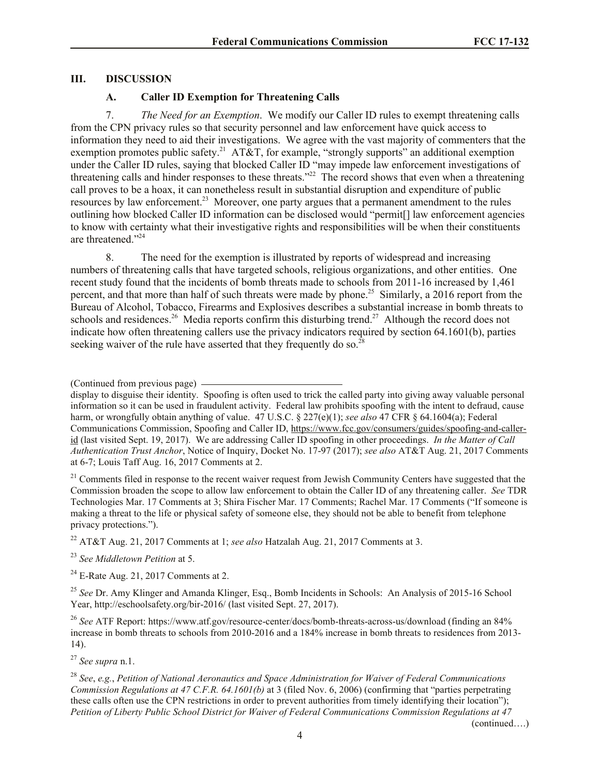## **III. DISCUSSION**

# **A. Caller ID Exemption for Threatening Calls**

7. *The Need for an Exemption*.We modify our Caller ID rules to exempt threatening calls from the CPN privacy rules so that security personnel and law enforcement have quick access to information they need to aid their investigations. We agree with the vast majority of commenters that the exemption promotes public safety.<sup>21</sup> AT&T, for example, "strongly supports" an additional exemption under the Caller ID rules, saying that blocked Caller ID "may impede law enforcement investigations of threatening calls and hinder responses to these threats."<sup>22</sup> The record shows that even when a threatening call proves to be a hoax, it can nonetheless result in substantial disruption and expenditure of public resources by law enforcement.<sup>23</sup> Moreover, one party argues that a permanent amendment to the rules outlining how blocked Caller ID information can be disclosed would "permit[] law enforcement agencies to know with certainty what their investigative rights and responsibilities will be when their constituents are threatened."<sup>24</sup>

8. The need for the exemption is illustrated by reports of widespread and increasing numbers of threatening calls that have targeted schools, religious organizations, and other entities. One recent study found that the incidents of bomb threats made to schools from 2011-16 increased by 1,461 percent, and that more than half of such threats were made by phone.<sup>25</sup> Similarly, a 2016 report from the Bureau of Alcohol, Tobacco, Firearms and Explosives describes a substantial increase in bomb threats to schools and residences.<sup>26</sup> Media reports confirm this disturbing trend.<sup>27</sup> Although the record does not indicate how often threatening callers use the privacy indicators required by section 64.1601(b), parties seeking waiver of the rule have asserted that they frequently do so.<sup>28</sup>

 $21$  Comments filed in response to the recent waiver request from Jewish Community Centers have suggested that the Commission broaden the scope to allow law enforcement to obtain the Caller ID of any threatening caller. *See* TDR Technologies Mar. 17 Comments at 3; Shira Fischer Mar. 17 Comments; Rachel Mar. 17 Comments ("If someone is making a threat to the life or physical safety of someone else, they should not be able to benefit from telephone privacy protections.").

<sup>22</sup> AT&T Aug. 21, 2017 Comments at 1; *see also* Hatzalah Aug. 21, 2017 Comments at 3.

<sup>23</sup> *See Middletown Petition* at 5.

 $24$  E-Rate Aug. 21, 2017 Comments at 2.

<sup>25</sup> *See* Dr. Amy Klinger and Amanda Klinger, Esq., Bomb Incidents in Schools: An Analysis of 2015-16 School Year, http://eschoolsafety.org/bir-2016/ (last visited Sept. 27, 2017).

<sup>26</sup> *See* ATF Report: https://www.atf.gov/resource-center/docs/bomb-threats-across-us/download (finding an 84% increase in bomb threats to schools from 2010-2016 and a 184% increase in bomb threats to residences from 2013- 14).

<sup>27</sup> *See supra* n.1.

<sup>28</sup> *See*, *e.g.*, *Petition of National Aeronautics and Space Administration for Waiver of Federal Communications Commission Regulations at 47 C.F.R. 64.1601(b)* at 3 (filed Nov. 6, 2006) (confirming that "parties perpetrating these calls often use the CPN restrictions in order to prevent authorities from timely identifying their location"); *Petition of Liberty Public School District for Waiver of Federal Communications Commission Regulations at 47* 

<sup>(</sup>Continued from previous page)

display to disguise their identity. Spoofing is often used to trick the called party into giving away valuable personal information so it can be used in fraudulent activity. Federal law prohibits spoofing with the intent to defraud, cause harm, or wrongfully obtain anything of value. 47 U.S.C. § 227(e)(1); *see also* 47 CFR § 64.1604(a); Federal Communications Commission, Spoofing and Caller ID, https://www.fcc.gov/consumers/guides/spoofing-and-callerid (last visited Sept. 19, 2017). We are addressing Caller ID spoofing in other proceedings. *In the Matter of Call Authentication Trust Anchor*, Notice of Inquiry, Docket No. 17-97 (2017); *see also* AT&T Aug. 21, 2017 Comments at 6-7; Louis Taff Aug. 16, 2017 Comments at 2.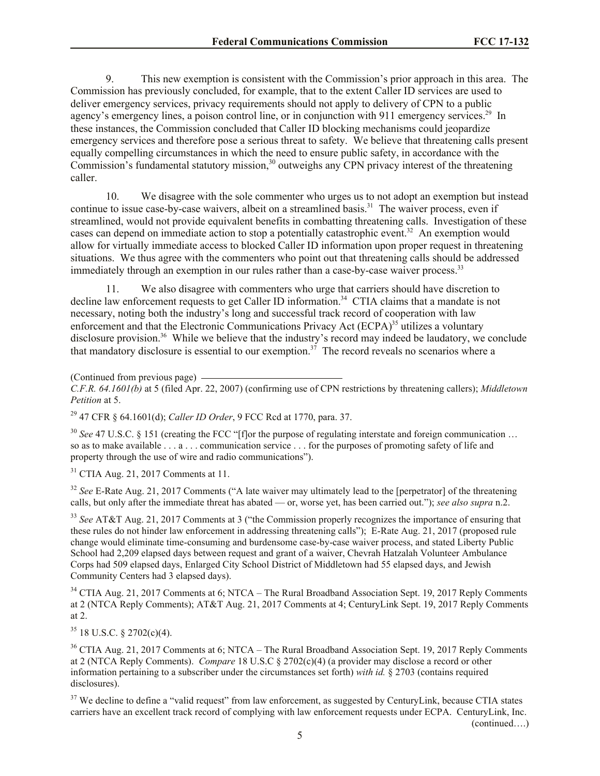9. This new exemption is consistent with the Commission's prior approach in this area. The Commission has previously concluded, for example, that to the extent Caller ID services are used to deliver emergency services, privacy requirements should not apply to delivery of CPN to a public agency's emergency lines, a poison control line, or in conjunction with 911 emergency services.<sup>29</sup> In these instances, the Commission concluded that Caller ID blocking mechanisms could jeopardize emergency services and therefore pose a serious threat to safety. We believe that threatening calls present equally compelling circumstances in which the need to ensure public safety, in accordance with the Commission's fundamental statutory mission,<sup>30</sup> outweighs any CPN privacy interest of the threatening caller.

10. We disagree with the sole commenter who urges us to not adopt an exemption but instead continue to issue case-by-case waivers, albeit on a streamlined basis.<sup>31</sup> The waiver process, even if streamlined, would not provide equivalent benefits in combatting threatening calls. Investigation of these cases can depend on immediate action to stop a potentially catastrophic event.<sup>32</sup> An exemption would allow for virtually immediate access to blocked Caller ID information upon proper request in threatening situations. We thus agree with the commenters who point out that threatening calls should be addressed immediately through an exemption in our rules rather than a case-by-case waiver process.<sup>33</sup>

11. We also disagree with commenters who urge that carriers should have discretion to decline law enforcement requests to get Caller ID information.<sup>34</sup> CTIA claims that a mandate is not necessary, noting both the industry's long and successful track record of cooperation with law enforcement and that the Electronic Communications Privacy Act (ECPA)<sup>35</sup> utilizes a voluntary disclosure provision.<sup>36</sup> While we believe that the industry's record may indeed be laudatory, we conclude that mandatory disclosure is essential to our exemption.<sup>37</sup> The record reveals no scenarios where a

*C.F.R. 64.1601(b)* at 5 (filed Apr. 22, 2007) (confirming use of CPN restrictions by threatening callers); *Middletown Petition* at 5.

<sup>29</sup> 47 CFR § 64.1601(d); *Caller ID Order*, 9 FCC Rcd at 1770, para. 37.

<sup>30</sup> See 47 U.S.C. § 151 (creating the FCC "[f]or the purpose of regulating interstate and foreign communication ... so as to make available . . . a . . . communication service . . . for the purposes of promoting safety of life and property through the use of wire and radio communications").

<sup>31</sup> CTIA Aug. 21, 2017 Comments at 11.

<sup>32</sup> *See* E-Rate Aug. 21, 2017 Comments ("A late waiver may ultimately lead to the [perpetrator] of the threatening calls, but only after the immediate threat has abated — or, worse yet, has been carried out."); *see also supra* n.2.

<sup>33</sup> *See* AT&T Aug. 21, 2017 Comments at 3 ("the Commission properly recognizes the importance of ensuring that these rules do not hinder law enforcement in addressing threatening calls"); E-Rate Aug. 21, 2017 (proposed rule change would eliminate time-consuming and burdensome case-by-case waiver process, and stated Liberty Public School had 2,209 elapsed days between request and grant of a waiver, Chevrah Hatzalah Volunteer Ambulance Corps had 509 elapsed days, Enlarged City School District of Middletown had 55 elapsed days, and Jewish Community Centers had 3 elapsed days).

<sup>34</sup> CTIA Aug. 21, 2017 Comments at 6; NTCA – The Rural Broadband Association Sept. 19, 2017 Reply Comments at 2 (NTCA Reply Comments); AT&T Aug. 21, 2017 Comments at 4; CenturyLink Sept. 19, 2017 Reply Comments at 2.

 $35$  18 U.S.C. § 2702(c)(4).

<sup>36</sup> CTIA Aug. 21, 2017 Comments at 6; NTCA – The Rural Broadband Association Sept. 19, 2017 Reply Comments at 2 (NTCA Reply Comments). *Compare* 18 U.S.C § 2702(c)(4) (a provider may disclose a record or other information pertaining to a subscriber under the circumstances set forth) *with id.* § 2703 (contains required disclosures).

<sup>37</sup> We decline to define a "valid request" from law enforcement, as suggested by CenturyLink, because CTIA states carriers have an excellent track record of complying with law enforcement requests under ECPA. CenturyLink, Inc.

<sup>(</sup>Continued from previous page)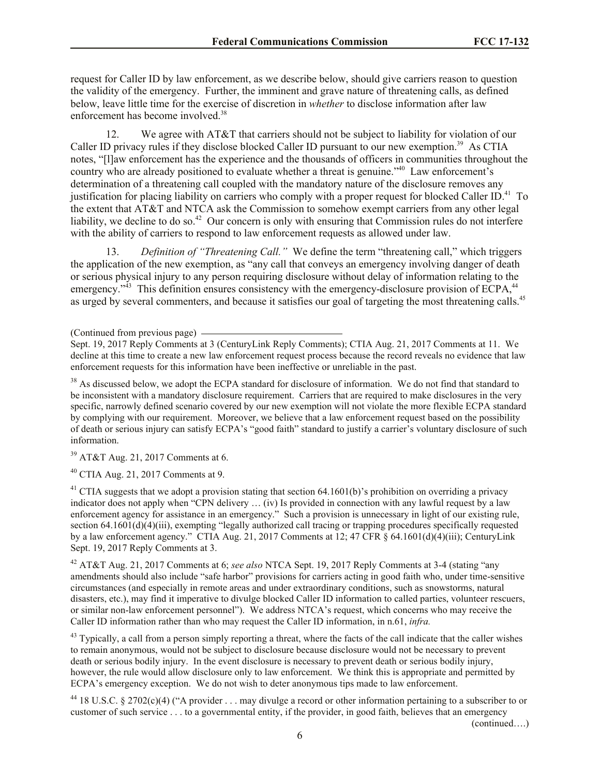request for Caller ID by law enforcement, as we describe below, should give carriers reason to question the validity of the emergency. Further, the imminent and grave nature of threatening calls, as defined below, leave little time for the exercise of discretion in *whether* to disclose information after law enforcement has become involved.<sup>38</sup>

12. We agree with AT&T that carriers should not be subject to liability for violation of our Caller ID privacy rules if they disclose blocked Caller ID pursuant to our new exemption.<sup>39</sup> As CTIA notes, "[l]aw enforcement has the experience and the thousands of officers in communities throughout the country who are already positioned to evaluate whether a threat is genuine."<sup>40</sup> Law enforcement's determination of a threatening call coupled with the mandatory nature of the disclosure removes any justification for placing liability on carriers who comply with a proper request for blocked Caller ID.<sup>41</sup> To the extent that AT&T and NTCA ask the Commission to somehow exempt carriers from any other legal liability, we decline to do so.<sup>42</sup> Our concern is only with ensuring that Commission rules do not interfere with the ability of carriers to respond to law enforcement requests as allowed under law.

13. *Definition of "Threatening Call."* We define the term "threatening call," which triggers the application of the new exemption, as "any call that conveys an emergency involving danger of death or serious physical injury to any person requiring disclosure without delay of information relating to the emergency."<sup>43</sup> This definition ensures consistency with the emergency-disclosure provision of ECPA,<sup>44</sup> as urged by several commenters, and because it satisfies our goal of targeting the most threatening calls.<sup>45</sup>

(Continued from previous page)

Sept. 19, 2017 Reply Comments at 3 (CenturyLink Reply Comments); CTIA Aug. 21, 2017 Comments at 11. We decline at this time to create a new law enforcement request process because the record reveals no evidence that law enforcement requests for this information have been ineffective or unreliable in the past.

<sup>38</sup> As discussed below, we adopt the ECPA standard for disclosure of information. We do not find that standard to be inconsistent with a mandatory disclosure requirement. Carriers that are required to make disclosures in the very specific, narrowly defined scenario covered by our new exemption will not violate the more flexible ECPA standard by complying with our requirement. Moreover, we believe that a law enforcement request based on the possibility of death or serious injury can satisfy ECPA's "good faith" standard to justify a carrier's voluntary disclosure of such information.

 $39$  AT&T Aug. 21, 2017 Comments at 6.

<sup>40</sup> CTIA Aug. 21, 2017 Comments at 9.

<sup>41</sup> CTIA suggests that we adopt a provision stating that section  $64.1601(b)$ 's prohibition on overriding a privacy indicator does not apply when "CPN delivery … (iv) Is provided in connection with any lawful request by a law enforcement agency for assistance in an emergency." Such a provision is unnecessary in light of our existing rule, section 64.1601(d)(4)(iii), exempting "legally authorized call tracing or trapping procedures specifically requested by a law enforcement agency." CTIA Aug. 21, 2017 Comments at 12; 47 CFR  $\S$  64.1601(d)(4)(iii); CenturyLink Sept. 19, 2017 Reply Comments at 3.

<sup>42</sup> AT&T Aug. 21, 2017 Comments at 6; *see also* NTCA Sept. 19, 2017 Reply Comments at 3-4 (stating "any amendments should also include "safe harbor" provisions for carriers acting in good faith who, under time-sensitive circumstances (and especially in remote areas and under extraordinary conditions, such as snowstorms, natural disasters, etc.), may find it imperative to divulge blocked Caller ID information to called parties, volunteer rescuers, or similar non-law enforcement personnel"). We address NTCA's request, which concerns who may receive the Caller ID information rather than who may request the Caller ID information, in n.61, *infra.*

<sup>43</sup> Typically, a call from a person simply reporting a threat, where the facts of the call indicate that the caller wishes to remain anonymous, would not be subject to disclosure because disclosure would not be necessary to prevent death or serious bodily injury. In the event disclosure is necessary to prevent death or serious bodily injury, however, the rule would allow disclosure only to law enforcement. We think this is appropriate and permitted by ECPA's emergency exception. We do not wish to deter anonymous tips made to law enforcement.

<sup>44</sup> 18 U.S.C. § 2702(c)(4) ("A provider . . . may divulge a record or other information pertaining to a subscriber to or customer of such service . . . to a governmental entity, if the provider, in good faith, believes that an emergency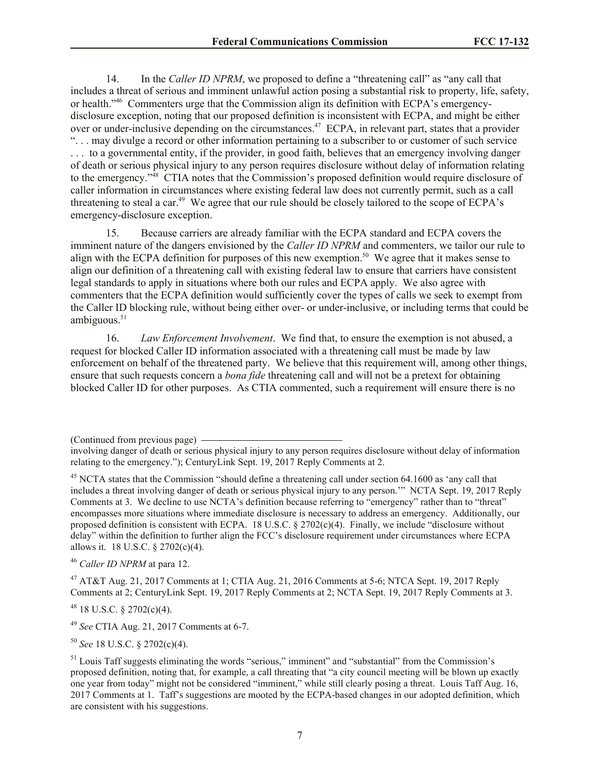14. In the *Caller ID NPRM*, we proposed to define a "threatening call" as "any call that includes a threat of serious and imminent unlawful action posing a substantial risk to property, life, safety, or health."<sup>46</sup> Commenters urge that the Commission align its definition with ECPA's emergencydisclosure exception, noting that our proposed definition is inconsistent with ECPA, and might be either over or under-inclusive depending on the circumstances.<sup>47</sup> ECPA, in relevant part, states that a provider ". . . may divulge a record or other information pertaining to a subscriber to or customer of such service . . . to a governmental entity, if the provider, in good faith, believes that an emergency involving danger of death or serious physical injury to any person requires disclosure without delay of information relating to the emergency."<sup>48</sup> CTIA notes that the Commission's proposed definition would require disclosure of caller information in circumstances where existing federal law does not currently permit, such as a call threatening to steal a car.<sup>49</sup> We agree that our rule should be closely tailored to the scope of ECPA's emergency-disclosure exception.

15. Because carriers are already familiar with the ECPA standard and ECPA covers the imminent nature of the dangers envisioned by the *Caller ID NPRM* and commenters, we tailor our rule to align with the ECPA definition for purposes of this new exemption.<sup>50</sup> We agree that it makes sense to align our definition of a threatening call with existing federal law to ensure that carriers have consistent legal standards to apply in situations where both our rules and ECPA apply. We also agree with commenters that the ECPA definition would sufficiently cover the types of calls we seek to exempt from the Caller ID blocking rule, without being either over- or under-inclusive, or including terms that could be ambiguous. $51$ 

16. *Law Enforcement Involvement*. We find that, to ensure the exemption is not abused, a request for blocked Caller ID information associated with a threatening call must be made by law enforcement on behalf of the threatened party. We believe that this requirement will, among other things, ensure that such requests concern a *bona fide* threatening call and will not be a pretext for obtaining blocked Caller ID for other purposes. As CTIA commented, such a requirement will ensure there is no

<sup>46</sup> *Caller ID NPRM* at para 12.

 $^{47}$  AT&T Aug. 21, 2017 Comments at 1; CTIA Aug. 21, 2016 Comments at 5-6; NTCA Sept. 19, 2017 Reply Comments at 2; CenturyLink Sept. 19, 2017 Reply Comments at 2; NCTA Sept. 19, 2017 Reply Comments at 3.

 $48$  18 U.S.C. § 2702(c)(4).

<sup>49</sup> *See* CTIA Aug. 21, 2017 Comments at 6-7.

<sup>50</sup> *See* 18 U.S.C. § 2702(c)(4).

<sup>(</sup>Continued from previous page)

involving danger of death or serious physical injury to any person requires disclosure without delay of information relating to the emergency."); CenturyLink Sept. 19, 2017 Reply Comments at 2.

<sup>&</sup>lt;sup>45</sup> NCTA states that the Commission "should define a threatening call under section 64.1600 as 'any call that includes a threat involving danger of death or serious physical injury to any person.'" NCTA Sept. 19, 2017 Reply Comments at 3. We decline to use NCTA's definition because referring to "emergency" rather than to "threat" encompasses more situations where immediate disclosure is necessary to address an emergency. Additionally, our proposed definition is consistent with ECPA. 18 U.S.C.  $\S 2702(c)(4)$ . Finally, we include "disclosure without delay" within the definition to further align the FCC's disclosure requirement under circumstances where ECPA allows it. 18 U.S.C. § 2702(c)(4).

<sup>&</sup>lt;sup>51</sup> Louis Taff suggests eliminating the words "serious," imminent" and "substantial" from the Commission's proposed definition, noting that, for example, a call threating that "a city council meeting will be blown up exactly one year from today" might not be considered "imminent," while still clearly posing a threat. Louis Taff Aug. 16, 2017 Comments at 1. Taff's suggestions are mooted by the ECPA-based changes in our adopted definition, which are consistent with his suggestions.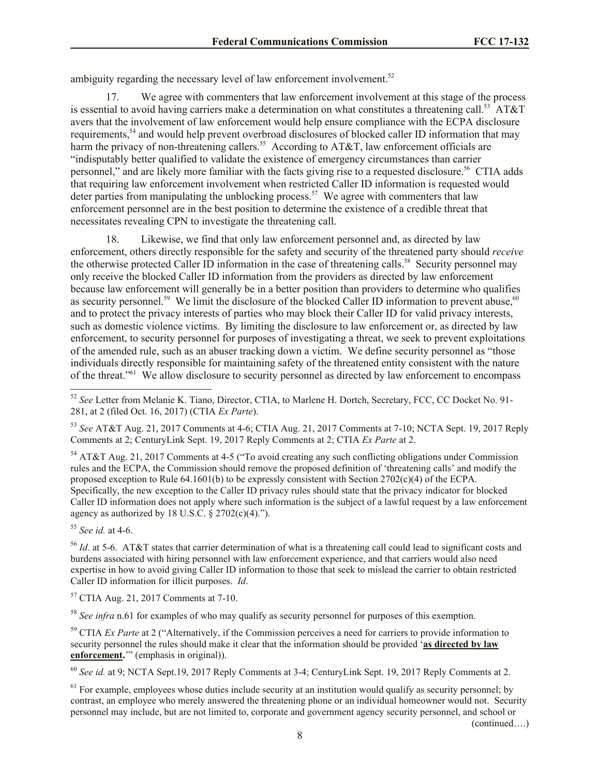ambiguity regarding the necessary level of law enforcement involvement.<sup>52</sup>

17. We agree with commenters that law enforcement involvement at this stage of the process is essential to avoid having carriers make a determination on what constitutes a threatening call.<sup>53</sup> AT&T avers that the involvement of law enforcement would help ensure compliance with the ECPA disclosure requirements,<sup>54</sup> and would help prevent overbroad disclosures of blocked caller ID information that may harm the privacy of non-threatening callers.<sup>55</sup> According to AT&T, law enforcement officials are "indisputably better qualified to validate the existence of emergency circumstances than carrier personnel," and are likely more familiar with the facts giving rise to a requested disclosure.<sup>56</sup> CTIA adds that requiring law enforcement involvement when restricted Caller ID information is requested would deter parties from manipulating the unblocking process.<sup>57</sup> We agree with commenters that law enforcement personnel are in the best position to determine the existence of a credible threat that necessitates revealing CPN to investigate the threatening call.

18. Likewise, we find that only law enforcement personnel and, as directed by law enforcement, others directly responsible for the safety and security of the threatened party should *receive* the otherwise protected Caller ID information in the case of threatening calls.<sup>58</sup> Security personnel may only receive the blocked Caller ID information from the providers as directed by law enforcement because law enforcement will generally be in a better position than providers to determine who qualifies as security personnel.<sup>59</sup> We limit the disclosure of the blocked Caller ID information to prevent abuse,<sup>60</sup> and to protect the privacy interests of parties who may block their Caller ID for valid privacy interests, such as domestic violence victims. By limiting the disclosure to law enforcement or, as directed by law enforcement, to security personnel for purposes of investigating a threat, we seek to prevent exploitations of the amended rule, such as an abuser tracking down a victim. We define security personnel as "those individuals directly responsible for maintaining safety of the threatened entity consistent with the nature of the threat."<sup>61</sup> We allow disclosure to security personnel as directed by law enforcement to encompass

<sup>53</sup> *See* AT&T Aug. 21, 2017 Comments at 4-6; CTIA Aug. 21, 2017 Comments at 7-10; NCTA Sept. 19, 2017 Reply Comments at 2; CenturyLink Sept. 19, 2017 Reply Comments at 2; CTIA *Ex Parte* at 2.

<sup>54</sup> AT&T Aug. 21, 2017 Comments at 4-5 ("To avoid creating any such conflicting obligations under Commission rules and the ECPA, the Commission should remove the proposed definition of 'threatening calls' and modify the proposed exception to Rule 64.1601(b) to be expressly consistent with Section  $2702(c)(4)$  of the ECPA. Specifically, the new exception to the Caller ID privacy rules should state that the privacy indicator for blocked Caller ID information does not apply where such information is the subject of a lawful request by a law enforcement agency as authorized by 18 U.S.C.  $\S$  2702(c)(4).").

<sup>55</sup> *See id.* at 4-6.

 $\overline{a}$ 

<sup>56</sup> *Id.* at 5-6. AT&T states that carrier determination of what is a threatening call could lead to significant costs and burdens associated with hiring personnel with law enforcement experience, and that carriers would also need expertise in how to avoid giving Caller ID information to those that seek to mislead the carrier to obtain restricted Caller ID information for illicit purposes. *Id*.

<sup>57</sup> CTIA Aug. 21, 2017 Comments at 7-10.

<sup>58</sup> See infra n.61 for examples of who may qualify as security personnel for purposes of this exemption.

<sup>59</sup> CTIA *Ex Parte* at 2 ("Alternatively, if the Commission perceives a need for carriers to provide information to security personnel the rules should make it clear that the information should be provided '**as directed by law enforcement.**'" (emphasis in original)).

<sup>60</sup> *See id.* at 9; NCTA Sept.19, 2017 Reply Comments at 3-4; CenturyLink Sept. 19, 2017 Reply Comments at 2.

 $<sup>61</sup>$  For example, employees whose duties include security at an institution would qualify as security personnel; by</sup> contrast, an employee who merely answered the threatening phone or an individual homeowner would not. Security personnel may include, but are not limited to, corporate and government agency security personnel, and school or

<sup>52</sup> *See* Letter from Melanie K. Tiano, Director, CTIA, to Marlene H. Dortch, Secretary, FCC, CC Docket No. 91- 281, at 2 (filed Oct. 16, 2017) (CTIA *Ex Parte*).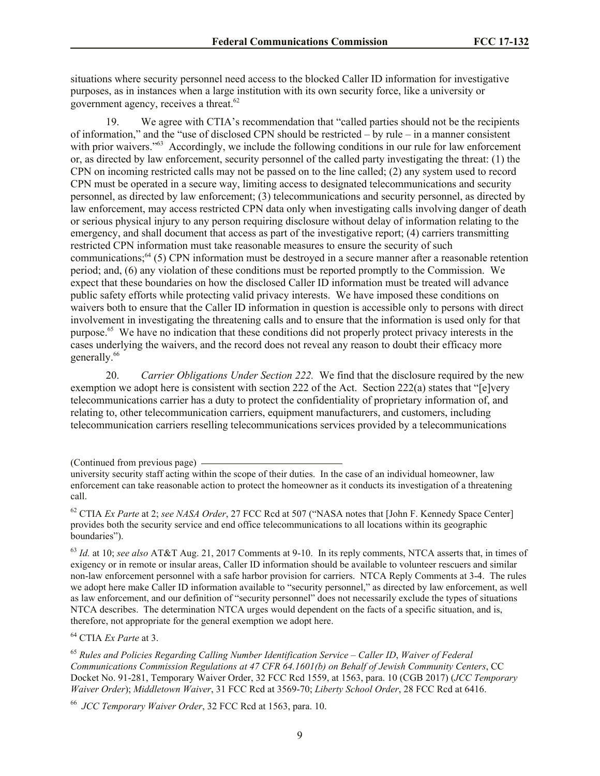situations where security personnel need access to the blocked Caller ID information for investigative purposes, as in instances when a large institution with its own security force, like a university or government agency, receives a threat.<sup>62</sup>

19. We agree with CTIA's recommendation that "called parties should not be the recipients of information," and the "use of disclosed CPN should be restricted – by rule – in a manner consistent with prior waivers."<sup>63</sup> Accordingly, we include the following conditions in our rule for law enforcement or, as directed by law enforcement, security personnel of the called party investigating the threat: (1) the CPN on incoming restricted calls may not be passed on to the line called; (2) any system used to record CPN must be operated in a secure way, limiting access to designated telecommunications and security personnel, as directed by law enforcement; (3) telecommunications and security personnel, as directed by law enforcement, may access restricted CPN data only when investigating calls involving danger of death or serious physical injury to any person requiring disclosure without delay of information relating to the emergency, and shall document that access as part of the investigative report; (4) carriers transmitting restricted CPN information must take reasonable measures to ensure the security of such communications;<sup>64</sup> (5) CPN information must be destroyed in a secure manner after a reasonable retention period; and, (6) any violation of these conditions must be reported promptly to the Commission. We expect that these boundaries on how the disclosed Caller ID information must be treated will advance public safety efforts while protecting valid privacy interests. We have imposed these conditions on waivers both to ensure that the Caller ID information in question is accessible only to persons with direct involvement in investigating the threatening calls and to ensure that the information is used only for that purpose.<sup>65</sup> We have no indication that these conditions did not properly protect privacy interests in the cases underlying the waivers, and the record does not reveal any reason to doubt their efficacy more generally.<sup>66</sup>

20. *Carrier Obligations Under Section 222.* We find that the disclosure required by the new exemption we adopt here is consistent with section 222 of the Act. Section 222(a) states that "[e]very telecommunications carrier has a duty to protect the confidentiality of proprietary information of, and relating to, other telecommunication carriers, equipment manufacturers, and customers, including telecommunication carriers reselling telecommunications services provided by a telecommunications

<sup>63</sup> *Id.* at 10; *see also* AT&T Aug. 21, 2017 Comments at 9-10. In its reply comments, NTCA asserts that, in times of exigency or in remote or insular areas, Caller ID information should be available to volunteer rescuers and similar non-law enforcement personnel with a safe harbor provision for carriers. NTCA Reply Comments at 3-4. The rules we adopt here make Caller ID information available to "security personnel," as directed by law enforcement, as well as law enforcement, and our definition of "security personnel" does not necessarily exclude the types of situations NTCA describes. The determination NTCA urges would dependent on the facts of a specific situation, and is, therefore, not appropriate for the general exemption we adopt here.

<sup>64</sup> CTIA *Ex Parte* at 3.

66 *JCC Temporary Waiver Order*, 32 FCC Rcd at 1563, para. 10.

<sup>(</sup>Continued from previous page)

university security staff acting within the scope of their duties. In the case of an individual homeowner, law enforcement can take reasonable action to protect the homeowner as it conducts its investigation of a threatening call.

<sup>62</sup> CTIA *Ex Parte* at 2; *see NASA Order*, 27 FCC Rcd at 507 ("NASA notes that [John F. Kennedy Space Center] provides both the security service and end office telecommunications to all locations within its geographic boundaries").

<sup>65</sup> *Rules and Policies Regarding Calling Number Identification Service – Caller ID*, *Waiver of Federal Communications Commission Regulations at 47 CFR 64.1601(b) on Behalf of Jewish Community Centers*, CC Docket No. 91-281, Temporary Waiver Order, 32 FCC Rcd 1559, at 1563, para. 10 (CGB 2017) (*JCC Temporary Waiver Order*); *Middletown Waiver*, 31 FCC Rcd at 3569-70; *Liberty School Order*, 28 FCC Rcd at 6416.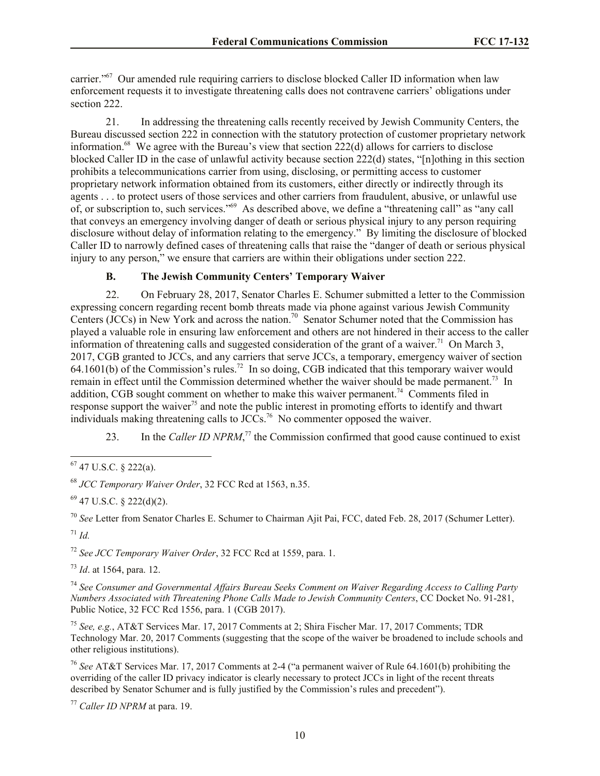carrier."<sup>67</sup> Our amended rule requiring carriers to disclose blocked Caller ID information when law enforcement requests it to investigate threatening calls does not contravene carriers' obligations under section 222.

21. In addressing the threatening calls recently received by Jewish Community Centers, the Bureau discussed section 222 in connection with the statutory protection of customer proprietary network information.<sup>68</sup> We agree with the Bureau's view that section 222(d) allows for carriers to disclose blocked Caller ID in the case of unlawful activity because section 222(d) states, "[n]othing in this section prohibits a telecommunications carrier from using, disclosing, or permitting access to customer proprietary network information obtained from its customers, either directly or indirectly through its agents . . . to protect users of those services and other carriers from fraudulent, abusive, or unlawful use of, or subscription to, such services."<sup>69</sup> As described above, we define a "threatening call" as "any call that conveys an emergency involving danger of death or serious physical injury to any person requiring disclosure without delay of information relating to the emergency." By limiting the disclosure of blocked Caller ID to narrowly defined cases of threatening calls that raise the "danger of death or serious physical injury to any person," we ensure that carriers are within their obligations under section 222.

# **B. The Jewish Community Centers' Temporary Waiver**

22. On February 28, 2017, Senator Charles E. Schumer submitted a letter to the Commission expressing concern regarding recent bomb threats made via phone against various Jewish Community Centers (JCCs) in New York and across the nation.<sup>70</sup> Senator Schumer noted that the Commission has played a valuable role in ensuring law enforcement and others are not hindered in their access to the caller information of threatening calls and suggested consideration of the grant of a waiver.<sup>71</sup> On March 3, 2017, CGB granted to JCCs, and any carriers that serve JCCs, a temporary, emergency waiver of section  $64.1601(b)$  of the Commission's rules.<sup>72</sup> In so doing, CGB indicated that this temporary waiver would remain in effect until the Commission determined whether the waiver should be made permanent.<sup>73</sup> In addition, CGB sought comment on whether to make this waiver permanent.<sup>74</sup> Comments filed in response support the waiver<sup>75</sup> and note the public interest in promoting efforts to identify and thwart individuals making threatening calls to JCCs.<sup>76</sup> No commenter opposed the waiver.

23. In the *Caller ID NPRM*<sup>77</sup>, the Commission confirmed that good cause continued to exist

 $\overline{a}$ 

<sup>70</sup> *See* Letter from Senator Charles E. Schumer to Chairman Ajit Pai, FCC, dated Feb. 28, 2017 (Schumer Letter). <sup>71</sup> *Id.*

<sup>72</sup> *See JCC Temporary Waiver Order*, 32 FCC Rcd at 1559, para. 1.

<sup>73</sup> *Id*. at 1564, para. 12.

<sup>74</sup> *See Consumer and Governmental Affairs Bureau Seeks Comment on Waiver Regarding Access to Calling Party Numbers Associated with Threatening Phone Calls Made to Jewish Community Centers*, CC Docket No. 91-281, Public Notice, 32 FCC Rcd 1556, para. 1 (CGB 2017).

<sup>75</sup> *See, e.g.*, AT&T Services Mar. 17, 2017 Comments at 2; Shira Fischer Mar. 17, 2017 Comments; TDR Technology Mar. 20, 2017 Comments (suggesting that the scope of the waiver be broadened to include schools and other religious institutions).

<sup>76</sup> *See* AT&T Services Mar. 17, 2017 Comments at 2-4 ("a permanent waiver of Rule 64.1601(b) prohibiting the overriding of the caller ID privacy indicator is clearly necessary to protect JCCs in light of the recent threats described by Senator Schumer and is fully justified by the Commission's rules and precedent").

<sup>77</sup> *Caller ID NPRM* at para. 19.

 $67$  47 U.S.C. § 222(a).

<sup>68</sup> *JCC Temporary Waiver Order*, 32 FCC Rcd at 1563, n.35.

 $69$  47 U.S.C. § 222(d)(2).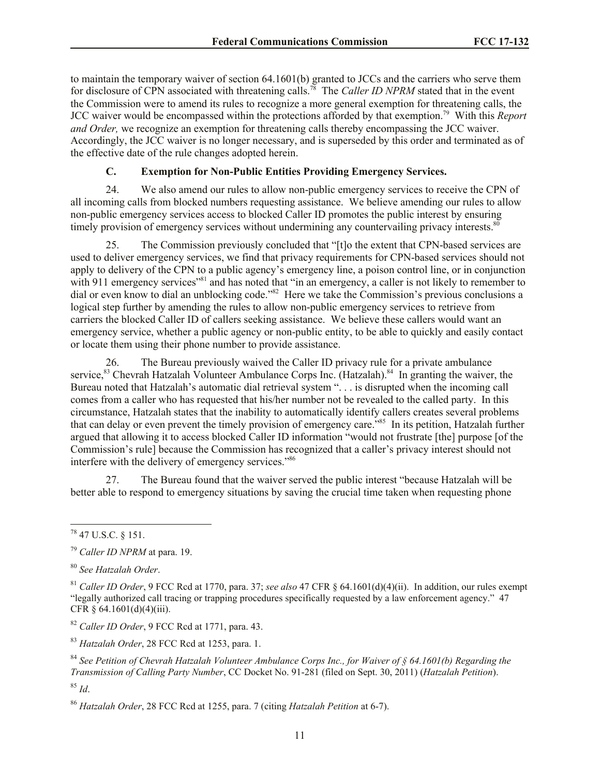to maintain the temporary waiver of section 64.1601(b) granted to JCCs and the carriers who serve them for disclosure of CPN associated with threatening calls.<sup>78</sup> The *Caller ID NPRM* stated that in the event the Commission were to amend its rules to recognize a more general exemption for threatening calls, the JCC waiver would be encompassed within the protections afforded by that exemption.<sup>79</sup> With this *Report and Order,* we recognize an exemption for threatening calls thereby encompassing the JCC waiver. Accordingly, the JCC waiver is no longer necessary, and is superseded by this order and terminated as of the effective date of the rule changes adopted herein.

# **C. Exemption for Non-Public Entities Providing Emergency Services.**

24. We also amend our rules to allow non-public emergency services to receive the CPN of all incoming calls from blocked numbers requesting assistance. We believe amending our rules to allow non-public emergency services access to blocked Caller ID promotes the public interest by ensuring timely provision of emergency services without undermining any countervailing privacy interests.<sup>80</sup>

25. The Commission previously concluded that "[t]o the extent that CPN-based services are used to deliver emergency services, we find that privacy requirements for CPN-based services should not apply to delivery of the CPN to a public agency's emergency line, a poison control line, or in conjunction with 911 emergency services<sup>"81</sup> and has noted that "in an emergency, a caller is not likely to remember to dial or even know to dial an unblocking code."<sup>82</sup> Here we take the Commission's previous conclusions a logical step further by amending the rules to allow non-public emergency services to retrieve from carriers the blocked Caller ID of callers seeking assistance. We believe these callers would want an emergency service, whether a public agency or non-public entity, to be able to quickly and easily contact or locate them using their phone number to provide assistance.

26. The Bureau previously waived the Caller ID privacy rule for a private ambulance service,<sup>83</sup> Chevrah Hatzalah Volunteer Ambulance Corps Inc. (Hatzalah).<sup>84</sup> In granting the waiver, the Bureau noted that Hatzalah's automatic dial retrieval system ". . . is disrupted when the incoming call comes from a caller who has requested that his/her number not be revealed to the called party. In this circumstance, Hatzalah states that the inability to automatically identify callers creates several problems that can delay or even prevent the timely provision of emergency care."<sup>85</sup> In its petition, Hatzalah further argued that allowing it to access blocked Caller ID information "would not frustrate [the] purpose [of the Commission's rule] because the Commission has recognized that a caller's privacy interest should not interfere with the delivery of emergency services."<sup>86</sup>

27. The Bureau found that the waiver served the public interest "because Hatzalah will be better able to respond to emergency situations by saving the crucial time taken when requesting phone

 $\overline{a}$ 

<sup>82</sup> *Caller ID Order*, 9 FCC Rcd at 1771, para. 43.

<sup>83</sup> *Hatzalah Order*, 28 FCC Rcd at 1253, para. 1.

 $^{78}$  47 U.S.C. § 151.

<sup>79</sup> *Caller ID NPRM* at para. 19.

<sup>80</sup> *See Hatzalah Order*.

<sup>81</sup> *Caller ID Order*, 9 FCC Rcd at 1770, para. 37; *see also* 47 CFR § 64.1601(d)(4)(ii). In addition, our rules exempt "legally authorized call tracing or trapping procedures specifically requested by a law enforcement agency." 47 CFR § 64.1601(d)(4)(iii).

<sup>84</sup> *See Petition of Chevrah Hatzalah Volunteer Ambulance Corps Inc., for Waiver of § 64.1601(b) Regarding the Transmission of Calling Party Number*, CC Docket No. 91-281 (filed on Sept. 30, 2011) (*Hatzalah Petition*).

<sup>85</sup> *Id*.

<sup>86</sup> *Hatzalah Order*, 28 FCC Rcd at 1255, para. 7 (citing *Hatzalah Petition* at 6-7).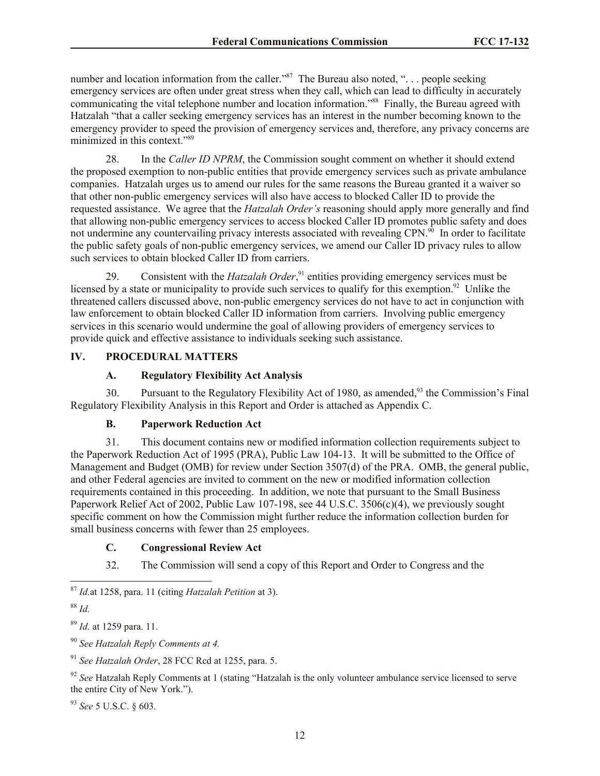number and location information from the caller."<sup>87</sup> The Bureau also noted, "... people seeking emergency services are often under great stress when they call, which can lead to difficulty in accurately communicating the vital telephone number and location information."<sup>88</sup> Finally, the Bureau agreed with Hatzalah "that a caller seeking emergency services has an interest in the number becoming known to the emergency provider to speed the provision of emergency services and, therefore, any privacy concerns are minimized in this context<sup>789</sup>

28. In the *Caller ID NPRM*, the Commission sought comment on whether it should extend the proposed exemption to non-public entities that provide emergency services such as private ambulance companies. Hatzalah urges us to amend our rules for the same reasons the Bureau granted it a waiver so that other non-public emergency services will also have access to blocked Caller ID to provide the requested assistance. We agree that the *Hatzalah Order's* reasoning should apply more generally and find that allowing non-public emergency services to access blocked Caller ID promotes public safety and does not undermine any countervailing privacy interests associated with revealing CPN.<sup>90</sup> In order to facilitate the public safety goals of non-public emergency services, we amend our Caller ID privacy rules to allow such services to obtain blocked Caller ID from carriers.

29. Consistent with the *Hatzalah Order*, <sup>91</sup> entities providing emergency services must be licensed by a state or municipality to provide such services to qualify for this exemption.<sup>92</sup> Unlike the threatened callers discussed above, non-public emergency services do not have to act in conjunction with law enforcement to obtain blocked Caller ID information from carriers. Involving public emergency services in this scenario would undermine the goal of allowing providers of emergency services to provide quick and effective assistance to individuals seeking such assistance.

# **IV. PROCEDURAL MATTERS**

# **A. Regulatory Flexibility Act Analysis**

30. Pursuant to the Regulatory Flexibility Act of 1980, as amended,<sup>93</sup> the Commission's Final Regulatory Flexibility Analysis in this Report and Order is attached as Appendix C.

# **B. Paperwork Reduction Act**

31. This document contains new or modified information collection requirements subject to the Paperwork Reduction Act of 1995 (PRA), Public Law 104-13. It will be submitted to the Office of Management and Budget (OMB) for review under Section 3507(d) of the PRA. OMB, the general public, and other Federal agencies are invited to comment on the new or modified information collection requirements contained in this proceeding. In addition, we note that pursuant to the Small Business Paperwork Relief Act of 2002, Public Law 107-198, see 44 U.S.C. 3506(c)(4), we previously sought specific comment on how the Commission might further reduce the information collection burden for small business concerns with fewer than 25 employees.

## **C. Congressional Review Act**

32. The Commission will send a copy of this Report and Order to Congress and the

<sup>90</sup> *See Hatzalah Reply Comments at 4.* 

<sup>91</sup> *See Hatzalah Order*, 28 FCC Rcd at 1255, para. 5.

<sup>92</sup> See Hatzalah Reply Comments at 1 (stating "Hatzalah is the only volunteer ambulance service licensed to serve the entire City of New York.").

<sup>93</sup> *See* 5 U.S.C. § 603.

 $\overline{a}$ <sup>87</sup> *Id.*at 1258, para. 11 (citing *Hatzalah Petition* at 3).

<sup>88</sup> *Id.*

<sup>89</sup> *Id.* at 1259 para. 11.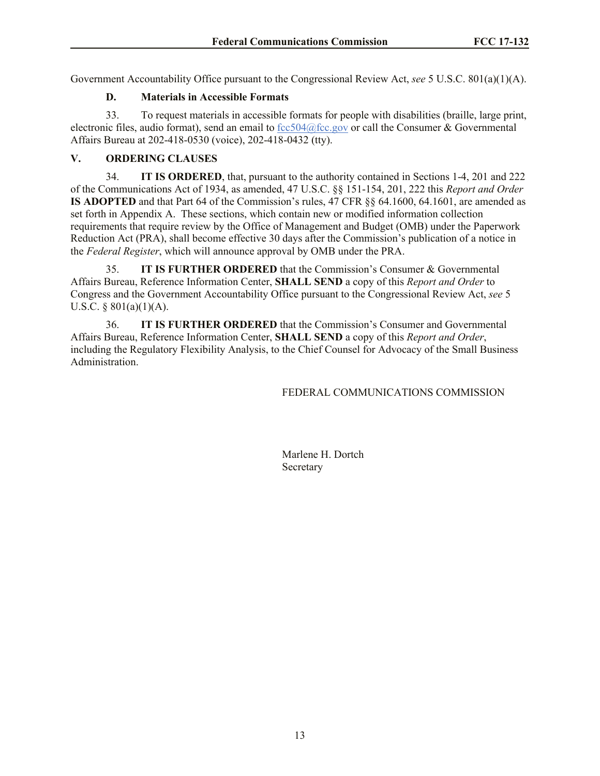Government Accountability Office pursuant to the Congressional Review Act, *see* 5 U.S.C. 801(a)(1)(A).

# **D. Materials in Accessible Formats**

33. To request materials in accessible formats for people with disabilities (braille, large print, electronic files, audio format), send an email to  $fcc504@fcc.gov$  or call the Consumer & Governmental Affairs Bureau at 202-418-0530 (voice), 202-418-0432 (tty).

# **V. ORDERING CLAUSES**

34. **IT IS ORDERED**, that, pursuant to the authority contained in Sections 1-4, 201 and 222 of the Communications Act of 1934, as amended, 47 U.S.C. §§ 151-154, 201, 222 this *Report and Order* **IS ADOPTED** and that Part 64 of the Commission's rules, 47 CFR §§ 64.1600, 64.1601, are amended as set forth in Appendix A. These sections, which contain new or modified information collection requirements that require review by the Office of Management and Budget (OMB) under the Paperwork Reduction Act (PRA), shall become effective 30 days after the Commission's publication of a notice in the *Federal Register*, which will announce approval by OMB under the PRA.

35. **IT IS FURTHER ORDERED** that the Commission's Consumer & Governmental Affairs Bureau, Reference Information Center, **SHALL SEND** a copy of this *Report and Order* to Congress and the Government Accountability Office pursuant to the Congressional Review Act, *see* 5 U.S.C.  $\S$  801(a)(1)(A).

36. **IT IS FURTHER ORDERED** that the Commission's Consumer and Governmental Affairs Bureau, Reference Information Center, **SHALL SEND** a copy of this *Report and Order*, including the Regulatory Flexibility Analysis, to the Chief Counsel for Advocacy of the Small Business Administration.

## FEDERAL COMMUNICATIONS COMMISSION

Marlene H. Dortch **Secretary**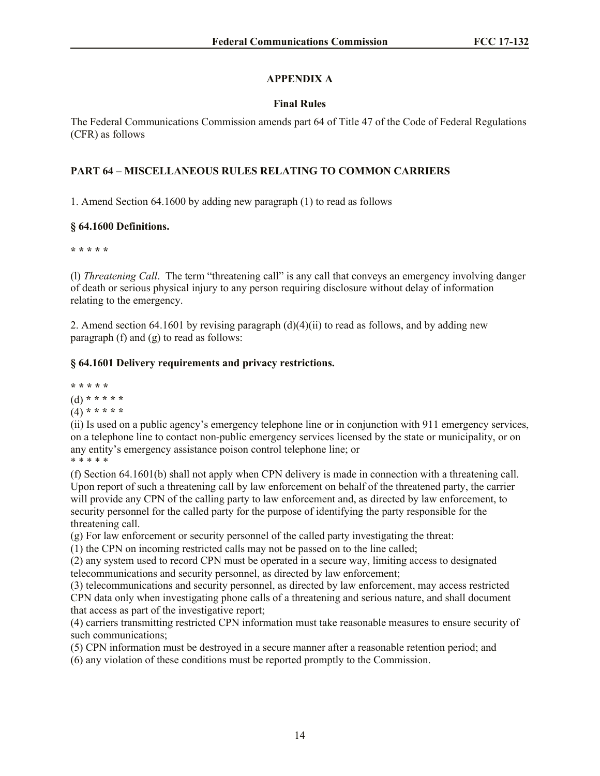# **APPENDIX A**

# **Final Rules**

The Federal Communications Commission amends part 64 of Title 47 of the Code of Federal Regulations (CFR) as follows

# **PART 64 – MISCELLANEOUS RULES RELATING TO COMMON CARRIERS**

1. Amend Section 64.1600 by adding new paragraph (1) to read as follows

# **§ 64.1600 Definitions.**

**\* \* \* \* \*** 

(l) *Threatening Call*. The term "threatening call" is any call that conveys an emergency involving danger of death or serious physical injury to any person requiring disclosure without delay of information relating to the emergency.

2. Amend section 64.1601 by revising paragraph  $(d)(4)(ii)$  to read as follows, and by adding new paragraph (f) and (g) to read as follows:

# **§ 64.1601 Delivery requirements and privacy restrictions.**

**\* \* \* \* \*** 

(d) **\* \* \* \* \*** 

(4) **\* \* \* \* \*** 

(ii) Is used on a public agency's emergency telephone line or in conjunction with 911 emergency services, on a telephone line to contact non-public emergency services licensed by the state or municipality, or on any entity's emergency assistance poison control telephone line; or \* \* \* \* \* \*

(f) Section 64.1601(b) shall not apply when CPN delivery is made in connection with a threatening call. Upon report of such a threatening call by law enforcement on behalf of the threatened party, the carrier will provide any CPN of the calling party to law enforcement and, as directed by law enforcement, to security personnel for the called party for the purpose of identifying the party responsible for the threatening call.

(g) For law enforcement or security personnel of the called party investigating the threat:

(1) the CPN on incoming restricted calls may not be passed on to the line called;

(2) any system used to record CPN must be operated in a secure way, limiting access to designated telecommunications and security personnel, as directed by law enforcement;

(3) telecommunications and security personnel, as directed by law enforcement, may access restricted CPN data only when investigating phone calls of a threatening and serious nature, and shall document that access as part of the investigative report;

(4) carriers transmitting restricted CPN information must take reasonable measures to ensure security of such communications;

(5) CPN information must be destroyed in a secure manner after a reasonable retention period; and

(6) any violation of these conditions must be reported promptly to the Commission.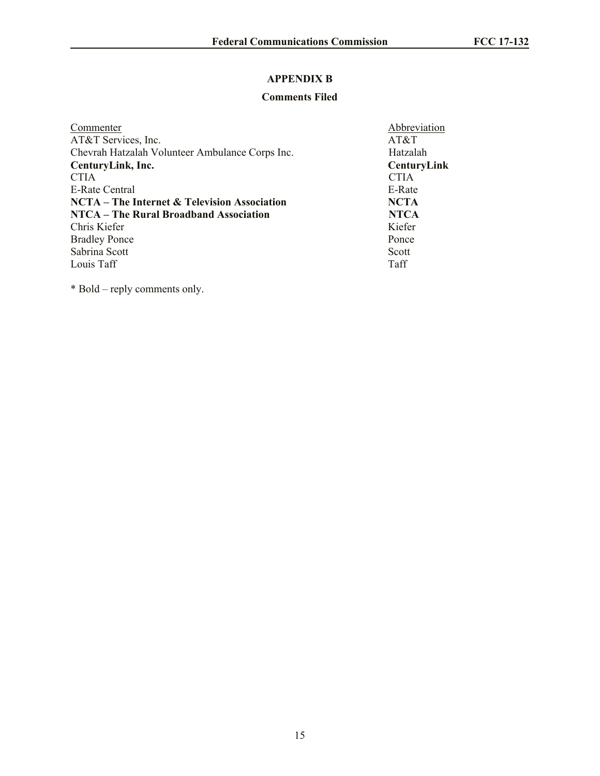# **APPENDIX B**

# **Comments Filed**

| Commenter                                           | Abbreviation       |
|-----------------------------------------------------|--------------------|
| AT&T Services, Inc.                                 | AT&T               |
| Chevrah Hatzalah Volunteer Ambulance Corps Inc.     | Hatzalah           |
| CenturyLink, Inc.                                   | <b>CenturyLink</b> |
| <b>CTIA</b>                                         | <b>CTIA</b>        |
| E-Rate Central                                      | E-Rate             |
| <b>NCTA</b> – The Internet & Television Association | <b>NCTA</b>        |
| <b>NTCA</b> – The Rural Broadband Association       | <b>NTCA</b>        |
| Chris Kiefer                                        | Kiefer             |
| <b>Bradley Ponce</b>                                | Ponce              |
| Sabrina Scott                                       | Scott              |
| Louis Taff                                          | Taff               |

\* Bold – reply comments only.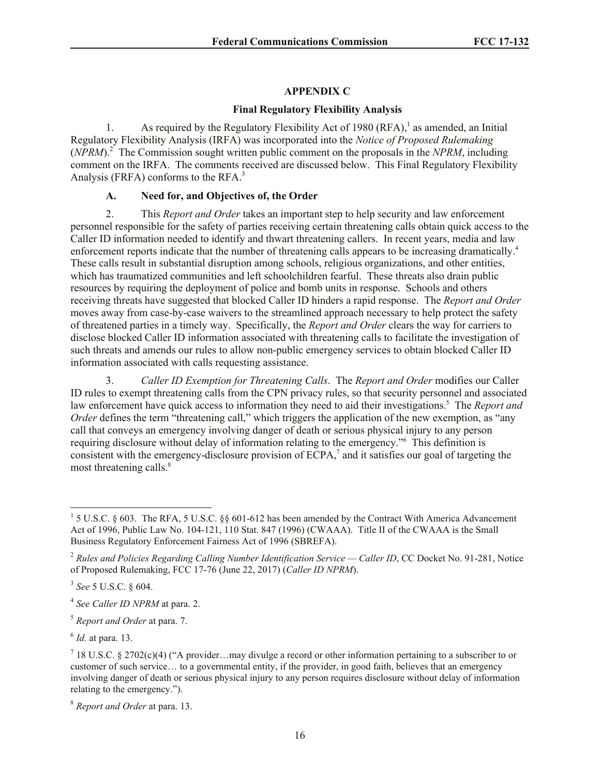## **APPENDIX C**

## **Final Regulatory Flexibility Analysis**

1. As required by the Regulatory Flexibility Act of 1980  $(RFA)$ ,<sup>1</sup> as amended, an Initial Regulatory Flexibility Analysis (IRFA) was incorporated into the *Notice of Proposed Rulemaking*  (*NPRM*).<sup>2</sup> The Commission sought written public comment on the proposals in the *NPRM*, including comment on the IRFA. The comments received are discussed below. This Final Regulatory Flexibility Analysis (FRFA) conforms to the RFA.<sup>3</sup>

## **A. Need for, and Objectives of, the Order**

2. This *Report and Order* takes an important step to help security and law enforcement personnel responsible for the safety of parties receiving certain threatening calls obtain quick access to the Caller ID information needed to identify and thwart threatening callers. In recent years, media and law enforcement reports indicate that the number of threatening calls appears to be increasing dramatically.<sup>4</sup> These calls result in substantial disruption among schools, religious organizations, and other entities, which has traumatized communities and left schoolchildren fearful. These threats also drain public resources by requiring the deployment of police and bomb units in response. Schools and others receiving threats have suggested that blocked Caller ID hinders a rapid response. The *Report and Order* moves away from case-by-case waivers to the streamlined approach necessary to help protect the safety of threatened parties in a timely way. Specifically, the *Report and Order* clears the way for carriers to disclose blocked Caller ID information associated with threatening calls to facilitate the investigation of such threats and amends our rules to allow non-public emergency services to obtain blocked Caller ID information associated with calls requesting assistance.

3. *Caller ID Exemption for Threatening Calls*.The *Report and Order* modifies our Caller ID rules to exempt threatening calls from the CPN privacy rules, so that security personnel and associated law enforcement have quick access to information they need to aid their investigations.<sup>5</sup> The *Report and Order* defines the term "threatening call," which triggers the application of the new exemption, as "any call that conveys an emergency involving danger of death or serious physical injury to any person requiring disclosure without delay of information relating to the emergency." This definition is consistent with the emergency-disclosure provision of  $ECPA$ ,<sup>7</sup> and it satisfies our goal of targeting the most threatening calls.<sup>8</sup>

 $\overline{a}$ 

6 *Id.* at para. 13.

<sup>&</sup>lt;sup>1</sup> 5 U.S.C. § 603. The RFA, 5 U.S.C. §§ 601-612 has been amended by the Contract With America Advancement Act of 1996, Public Law No. 104-121, 110 Stat. 847 (1996) (CWAAA). Title II of the CWAAA is the Small Business Regulatory Enforcement Fairness Act of 1996 (SBREFA).

<sup>2</sup> *Rules and Policies Regarding Calling Number Identification Service — Caller ID*, CC Docket No. 91-281, Notice of Proposed Rulemaking, FCC 17-76 (June 22, 2017) (*Caller ID NPRM*).

<sup>3</sup> *See* 5 U.S.C. § 604.

<sup>4</sup> *See Caller ID NPRM* at para. 2.

<sup>5</sup> *Report and Order* at para. 7.

<sup>&</sup>lt;sup>7</sup> 18 U.S.C. § 2702(c)(4) ("A provider...may divulge a record or other information pertaining to a subscriber to or customer of such service… to a governmental entity, if the provider, in good faith, believes that an emergency involving danger of death or serious physical injury to any person requires disclosure without delay of information relating to the emergency.").

<sup>8</sup> *Report and Order* at para. 13.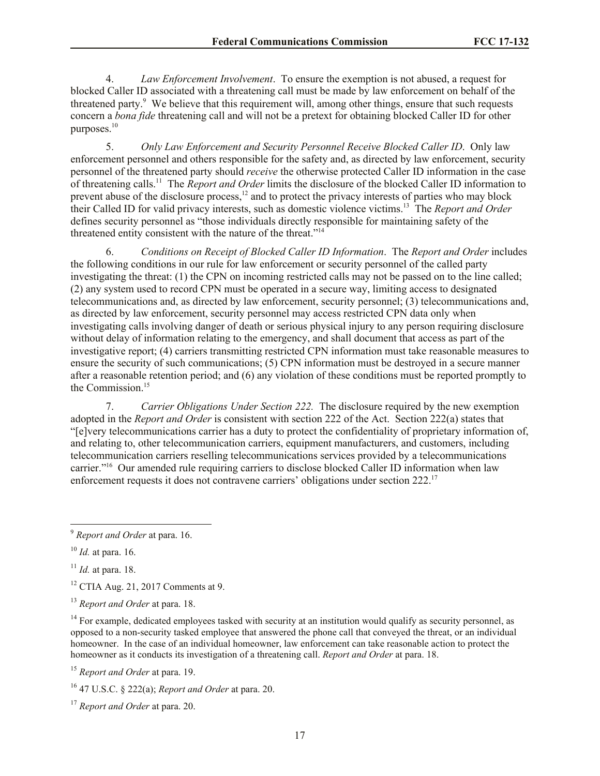4. *Law Enforcement Involvement*. To ensure the exemption is not abused, a request for blocked Caller ID associated with a threatening call must be made by law enforcement on behalf of the threatened party.<sup>9</sup> We believe that this requirement will, among other things, ensure that such requests concern a *bona fide* threatening call and will not be a pretext for obtaining blocked Caller ID for other purposes. $10$ 

5. *Only Law Enforcement and Security Personnel Receive Blocked Caller ID*.Only law enforcement personnel and others responsible for the safety and, as directed by law enforcement, security personnel of the threatened party should *receive* the otherwise protected Caller ID information in the case of threatening calls.<sup>11</sup> The *Report and Order* limits the disclosure of the blocked Caller ID information to prevent abuse of the disclosure process,<sup>12</sup> and to protect the privacy interests of parties who may block their Called ID for valid privacy interests, such as domestic violence victims.<sup>13</sup> The *Report and Order* defines security personnel as "those individuals directly responsible for maintaining safety of the threatened entity consistent with the nature of the threat."<sup>14</sup>

6. *Conditions on Receipt of Blocked Caller ID Information*. The *Report and Order* includes the following conditions in our rule for law enforcement or security personnel of the called party investigating the threat: (1) the CPN on incoming restricted calls may not be passed on to the line called; (2) any system used to record CPN must be operated in a secure way, limiting access to designated telecommunications and, as directed by law enforcement, security personnel; (3) telecommunications and, as directed by law enforcement, security personnel may access restricted CPN data only when investigating calls involving danger of death or serious physical injury to any person requiring disclosure without delay of information relating to the emergency, and shall document that access as part of the investigative report; (4) carriers transmitting restricted CPN information must take reasonable measures to ensure the security of such communications; (5) CPN information must be destroyed in a secure manner after a reasonable retention period; and (6) any violation of these conditions must be reported promptly to the Commission.<sup>15</sup>

7. *Carrier Obligations Under Section 222.* The disclosure required by the new exemption adopted in the *Report and Order* is consistent with section 222 of the Act. Section 222(a) states that "[e]very telecommunications carrier has a duty to protect the confidentiality of proprietary information of, and relating to, other telecommunication carriers, equipment manufacturers, and customers, including telecommunication carriers reselling telecommunications services provided by a telecommunications carrier."<sup>16</sup> Our amended rule requiring carriers to disclose blocked Caller ID information when law enforcement requests it does not contravene carriers' obligations under section 222.<sup>17</sup>

 $\overline{a}$ 

<sup>11</sup> *Id.* at para. 18.

<sup>12</sup> CTIA Aug. 21, 2017 Comments at 9.

 $14$  For example, dedicated employees tasked with security at an institution would qualify as security personnel, as opposed to a non-security tasked employee that answered the phone call that conveyed the threat, or an individual homeowner. In the case of an individual homeowner, law enforcement can take reasonable action to protect the homeowner as it conducts its investigation of a threatening call. *Report and Order* at para. 18.

<sup>15</sup> *Report and Order* at para. 19.

<sup>9</sup> *Report and Order* at para. 16.

<sup>10</sup> *Id.* at para. 16.

<sup>13</sup> *Report and Order* at para. 18.

<sup>16</sup> 47 U.S.C. § 222(a); *Report and Order* at para. 20.

<sup>17</sup> *Report and Order* at para. 20.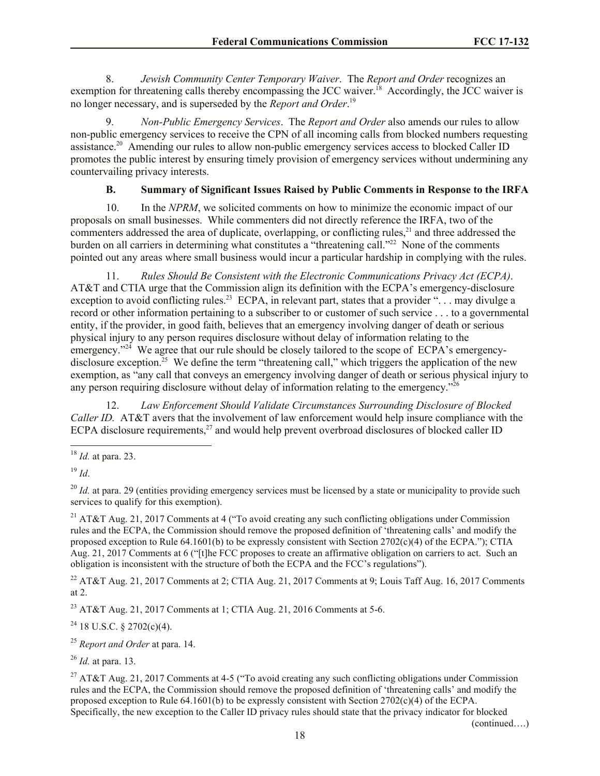8. *Jewish Community Center Temporary Waiver*. The *Report and Order* recognizes an exemption for threatening calls thereby encompassing the JCC waiver.<sup>18</sup> Accordingly, the JCC waiver is no longer necessary, and is superseded by the *Report and Order*. 19

9. *Non-Public Emergency Services*. The *Report and Order* also amends our rules to allow non-public emergency services to receive the CPN of all incoming calls from blocked numbers requesting assistance.<sup>20</sup> Amending our rules to allow non-public emergency services access to blocked Caller ID promotes the public interest by ensuring timely provision of emergency services without undermining any countervailing privacy interests.

# **B. Summary of Significant Issues Raised by Public Comments in Response to the IRFA**

10. In the *NPRM*, we solicited comments on how to minimize the economic impact of our proposals on small businesses. While commenters did not directly reference the IRFA, two of the commenters addressed the area of duplicate, overlapping, or conflicting rules,<sup>21</sup> and three addressed the burden on all carriers in determining what constitutes a "threatening call."<sup>22</sup> None of the comments pointed out any areas where small business would incur a particular hardship in complying with the rules.

11. *Rules Should Be Consistent with the Electronic Communications Privacy Act (ECPA)*. AT&T and CTIA urge that the Commission align its definition with the ECPA's emergency-disclosure exception to avoid conflicting rules.<sup>23</sup> ECPA, in relevant part, states that a provider "... may divulge a record or other information pertaining to a subscriber to or customer of such service . . . to a governmental entity, if the provider, in good faith, believes that an emergency involving danger of death or serious physical injury to any person requires disclosure without delay of information relating to the emergency."<sup>24</sup> We agree that our rule should be closely tailored to the scope of ECPA's emergencydisclosure exception.<sup>25</sup> We define the term "threatening call," which triggers the application of the new exemption, as "any call that conveys an emergency involving danger of death or serious physical injury to any person requiring disclosure without delay of information relating to the emergency."<sup>26</sup>

12. *Law Enforcement Should Validate Circumstances Surrounding Disclosure of Blocked Caller ID.* AT&T avers that the involvement of law enforcement would help insure compliance with the ECPA disclosure requirements,<sup>27</sup> and would help prevent overbroad disclosures of blocked caller ID

 $\overline{\phantom{a}}$ <sup>18</sup> *Id.* at para. 23.

<sup>19</sup> *Id*.

<sup>22</sup> AT&T Aug. 21, 2017 Comments at 2; CTIA Aug. 21, 2017 Comments at 9; Louis Taff Aug. 16, 2017 Comments at 2.

<sup>23</sup> AT&T Aug. 21, 2017 Comments at 1; CTIA Aug. 21, 2016 Comments at 5-6.

 $24$  18 U.S.C. § 2702(c)(4).

<sup>25</sup> *Report and Order* at para. 14.

<sup>26</sup> *Id.* at para. 13.

<sup>27</sup> AT&T Aug. 21, 2017 Comments at 4-5 ("To avoid creating any such conflicting obligations under Commission rules and the ECPA, the Commission should remove the proposed definition of 'threatening calls' and modify the proposed exception to Rule 64.1601(b) to be expressly consistent with Section  $2702(c)(4)$  of the ECPA. Specifically, the new exception to the Caller ID privacy rules should state that the privacy indicator for blocked

<sup>&</sup>lt;sup>20</sup> *Id.* at para. 29 (entities providing emergency services must be licensed by a state or municipality to provide such services to qualify for this exemption).

<sup>21</sup> AT&T Aug. 21, 2017 Comments at 4 ("To avoid creating any such conflicting obligations under Commission rules and the ECPA, the Commission should remove the proposed definition of 'threatening calls' and modify the proposed exception to Rule 64.1601(b) to be expressly consistent with Section 2702(c)(4) of the ECPA."); CTIA Aug. 21, 2017 Comments at 6 ("[t]he FCC proposes to create an affirmative obligation on carriers to act. Such an obligation is inconsistent with the structure of both the ECPA and the FCC's regulations").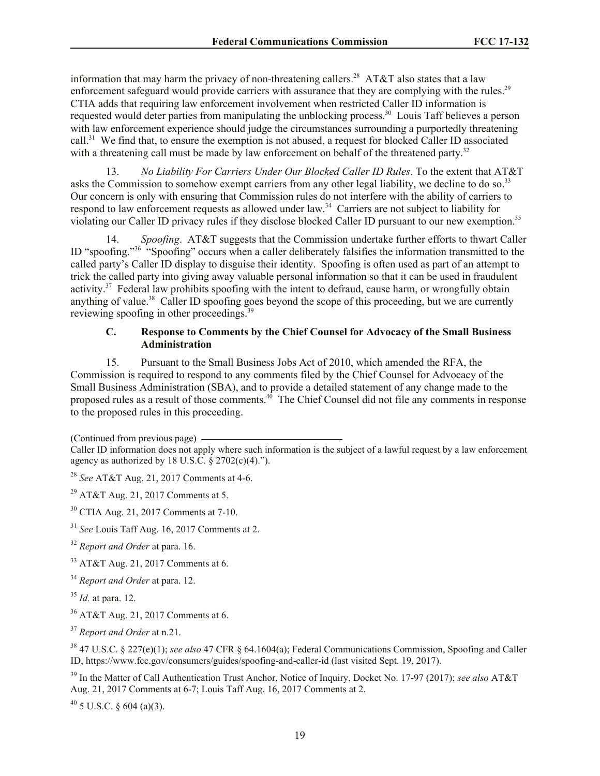information that may harm the privacy of non-threatening callers.<sup>28</sup> AT&T also states that a law enforcement safeguard would provide carriers with assurance that they are complying with the rules.<sup>29</sup> CTIA adds that requiring law enforcement involvement when restricted Caller ID information is requested would deter parties from manipulating the unblocking process.<sup>30</sup> Louis Taff believes a person with law enforcement experience should judge the circumstances surrounding a purportedly threatening call.<sup>31</sup> We find that, to ensure the exemption is not abused, a request for blocked Caller ID associated with a threatening call must be made by law enforcement on behalf of the threatened party. $32$ 

13. *No Liability For Carriers Under Our Blocked Caller ID Rules*. To the extent that AT&T asks the Commission to somehow exempt carriers from any other legal liability, we decline to do so.<sup>33</sup> Our concern is only with ensuring that Commission rules do not interfere with the ability of carriers to respond to law enforcement requests as allowed under law.<sup>34</sup> Carriers are not subject to liability for violating our Caller ID privacy rules if they disclose blocked Caller ID pursuant to our new exemption.<sup>35</sup>

14. *Spoofing*. AT&T suggests that the Commission undertake further efforts to thwart Caller ID "spoofing."<sup>36</sup> "Spoofing" occurs when a caller deliberately falsifies the information transmitted to the called party's Caller ID display to disguise their identity. Spoofing is often used as part of an attempt to trick the called party into giving away valuable personal information so that it can be used in fraudulent activity.<sup>37</sup> Federal law prohibits spoofing with the intent to defraud, cause harm, or wrongfully obtain anything of value.<sup>38</sup> Caller ID spoofing goes beyond the scope of this proceeding, but we are currently reviewing spoofing in other proceedings.<sup>39</sup>

## **C. Response to Comments by the Chief Counsel for Advocacy of the Small Business Administration**

15. Pursuant to the Small Business Jobs Act of 2010, which amended the RFA, the Commission is required to respond to any comments filed by the Chief Counsel for Advocacy of the Small Business Administration (SBA), and to provide a detailed statement of any change made to the proposed rules as a result of those comments.<sup>40</sup> The Chief Counsel did not file any comments in response to the proposed rules in this proceeding.

(Continued from previous page)

- <sup>32</sup> *Report and Order* at para. 16.
- <sup>33</sup> AT&T Aug. 21, 2017 Comments at 6.
- <sup>34</sup> *Report and Order* at para. 12.
- <sup>35</sup> *Id.* at para. 12.
- <sup>36</sup> AT&T Aug. 21, 2017 Comments at 6.

<sup>39</sup> In the Matter of Call Authentication Trust Anchor, Notice of Inquiry, Docket No. 17-97 (2017); *see also* AT&T Aug. 21, 2017 Comments at 6-7; Louis Taff Aug. 16, 2017 Comments at 2.

 $40\,$  5 U.S.C. § 604 (a)(3).

Caller ID information does not apply where such information is the subject of a lawful request by a law enforcement agency as authorized by 18 U.S.C.  $\S$  2702(c)(4).").

<sup>28</sup> *See* AT&T Aug. 21, 2017 Comments at 4-6.

<sup>&</sup>lt;sup>29</sup> AT&T Aug. 21, 2017 Comments at 5.

<sup>30</sup> CTIA Aug. 21, 2017 Comments at 7-10.

<sup>31</sup> *See* Louis Taff Aug. 16, 2017 Comments at 2.

<sup>37</sup> *Report and Order* at n.21.

<sup>38</sup> 47 U.S.C. § 227(e)(1); *see also* 47 CFR § 64.1604(a); Federal Communications Commission, Spoofing and Caller ID, https://www.fcc.gov/consumers/guides/spoofing-and-caller-id (last visited Sept. 19, 2017).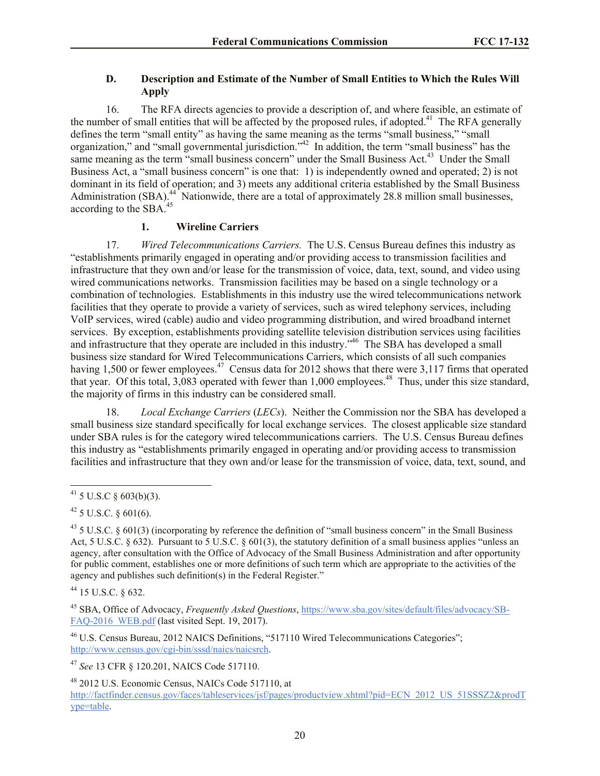# **D. Description and Estimate of the Number of Small Entities to Which the Rules Will Apply**

16. The RFA directs agencies to provide a description of, and where feasible, an estimate of the number of small entities that will be affected by the proposed rules, if adopted.<sup>41</sup> The RFA generally defines the term "small entity" as having the same meaning as the terms "small business," "small organization," and "small governmental jurisdiction."<sup>42</sup> In addition, the term "small business" has the same meaning as the term "small business concern" under the Small Business Act.<sup>43</sup> Under the Small Business Act, a "small business concern" is one that: 1) is independently owned and operated; 2) is not dominant in its field of operation; and 3) meets any additional criteria established by the Small Business Administration (SBA).<sup>44</sup> Nationwide, there are a total of approximately 28.8 million small businesses, according to the SBA.<sup>45</sup>

## **1. Wireline Carriers**

17. *Wired Telecommunications Carriers.* The U.S. Census Bureau defines this industry as "establishments primarily engaged in operating and/or providing access to transmission facilities and infrastructure that they own and/or lease for the transmission of voice, data, text, sound, and video using wired communications networks. Transmission facilities may be based on a single technology or a combination of technologies. Establishments in this industry use the wired telecommunications network facilities that they operate to provide a variety of services, such as wired telephony services, including VoIP services, wired (cable) audio and video programming distribution, and wired broadband internet services. By exception, establishments providing satellite television distribution services using facilities and infrastructure that they operate are included in this industry.<sup>346</sup> The SBA has developed a small business size standard for Wired Telecommunications Carriers, which consists of all such companies having 1,500 or fewer employees.<sup>47</sup> Census data for 2012 shows that there were 3,117 firms that operated that year. Of this total,  $3,083$  operated with fewer than 1,000 employees.<sup>48</sup> Thus, under this size standard, the majority of firms in this industry can be considered small.

18. *Local Exchange Carriers* (*LECs*). Neither the Commission nor the SBA has developed a small business size standard specifically for local exchange services. The closest applicable size standard under SBA rules is for the category wired telecommunications carriers. The U.S. Census Bureau defines this industry as "establishments primarily engaged in operating and/or providing access to transmission facilities and infrastructure that they own and/or lease for the transmission of voice, data, text, sound, and

<sup>44</sup> 15 U.S.C. § 632.

<sup>45</sup> SBA, Office of Advocacy, *Frequently Asked Questions*, https://www.sba.gov/sites/default/files/advocacy/SB-FAQ-2016 WEB.pdf (last visited Sept. 19, 2017).

<sup>46</sup> U.S. Census Bureau, 2012 NAICS Definitions, "517110 Wired Telecommunications Categories"; http://www.census.gov/cgi-bin/sssd/naics/naicsrch.

<sup>47</sup> *See* 13 CFR § 120.201, NAICS Code 517110.

<sup>48</sup> 2012 U.S. Economic Census, NAICs Code 517110, at

 $\overline{\phantom{a}}$  $41$  5 U.S.C § 603(b)(3).

 $42$  5 U.S.C. § 601(6).

 $^{43}$  5 U.S.C. § 601(3) (incorporating by reference the definition of "small business concern" in the Small Business Act, 5 U.S.C. § 632). Pursuant to 5 U.S.C. § 601(3), the statutory definition of a small business applies "unless an agency, after consultation with the Office of Advocacy of the Small Business Administration and after opportunity for public comment, establishes one or more definitions of such term which are appropriate to the activities of the agency and publishes such definition(s) in the Federal Register."

http://factfinder.census.gov/faces/tableservices/jsf/pages/productview.xhtml?pid=ECN\_2012\_US\_51SSSZ2&prodT ype=table.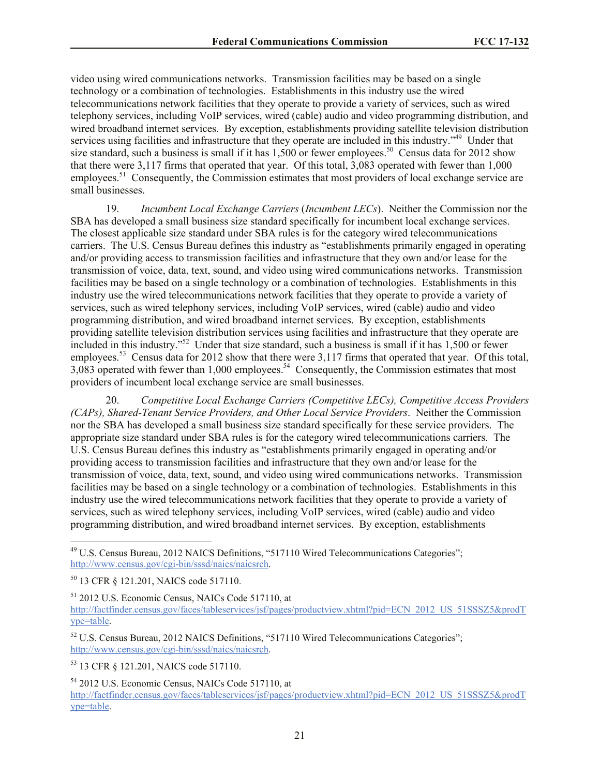video using wired communications networks. Transmission facilities may be based on a single technology or a combination of technologies. Establishments in this industry use the wired telecommunications network facilities that they operate to provide a variety of services, such as wired telephony services, including VoIP services, wired (cable) audio and video programming distribution, and wired broadband internet services. By exception, establishments providing satellite television distribution services using facilities and infrastructure that they operate are included in this industry."<sup>49</sup> Under that size standard, such a business is small if it has  $1,500$  or fewer employees.<sup>50</sup> Census data for 2012 show that there were 3,117 firms that operated that year. Of this total, 3,083 operated with fewer than 1,000 employees.<sup>51</sup> Consequently, the Commission estimates that most providers of local exchange service are small businesses.

19. *Incumbent Local Exchange Carriers* (*Incumbent LECs*). Neither the Commission nor the SBA has developed a small business size standard specifically for incumbent local exchange services. The closest applicable size standard under SBA rules is for the category wired telecommunications carriers. The U.S. Census Bureau defines this industry as "establishments primarily engaged in operating and/or providing access to transmission facilities and infrastructure that they own and/or lease for the transmission of voice, data, text, sound, and video using wired communications networks. Transmission facilities may be based on a single technology or a combination of technologies. Establishments in this industry use the wired telecommunications network facilities that they operate to provide a variety of services, such as wired telephony services, including VoIP services, wired (cable) audio and video programming distribution, and wired broadband internet services. By exception, establishments providing satellite television distribution services using facilities and infrastructure that they operate are included in this industry."<sup>52</sup> Under that size standard, such a business is small if it has  $1,500$  or fewer employees.<sup>53</sup> Census data for 2012 show that there were 3,117 firms that operated that year. Of this total,  $3,083$  operated with fewer than 1,000 employees.<sup>54</sup> Consequently, the Commission estimates that most providers of incumbent local exchange service are small businesses.

20. *Competitive Local Exchange Carriers (Competitive LECs), Competitive Access Providers (CAPs), Shared-Tenant Service Providers, and Other Local Service Providers*. Neither the Commission nor the SBA has developed a small business size standard specifically for these service providers. The appropriate size standard under SBA rules is for the category wired telecommunications carriers. The U.S. Census Bureau defines this industry as "establishments primarily engaged in operating and/or providing access to transmission facilities and infrastructure that they own and/or lease for the transmission of voice, data, text, sound, and video using wired communications networks. Transmission facilities may be based on a single technology or a combination of technologies. Establishments in this industry use the wired telecommunications network facilities that they operate to provide a variety of services, such as wired telephony services, including VoIP services, wired (cable) audio and video programming distribution, and wired broadband internet services. By exception, establishments

 $\overline{a}$ 

<sup>53</sup> 13 CFR § 121.201, NAICS code 517110.

<sup>49</sup> U.S. Census Bureau, 2012 NAICS Definitions, "517110 Wired Telecommunications Categories"; http://www.census.gov/cgi-bin/sssd/naics/naicsrch.

<sup>50</sup> 13 CFR § 121.201, NAICS code 517110.

<sup>51</sup> 2012 U.S. Economic Census, NAICs Code 517110, at http://factfinder.census.gov/faces/tableservices/jsf/pages/productview.xhtml?pid=ECN\_2012\_US\_51SSSZ5&prodT ype=table.

<sup>&</sup>lt;sup>52</sup> U.S. Census Bureau, 2012 NAICS Definitions, "517110 Wired Telecommunications Categories"; http://www.census.gov/cgi-bin/sssd/naics/naicsrch.

<sup>54</sup> 2012 U.S. Economic Census, NAICs Code 517110, at http://factfinder.census.gov/faces/tableservices/jsf/pages/productview.xhtml?pid=ECN\_2012\_US\_51SSSZ5&prodT ype=table.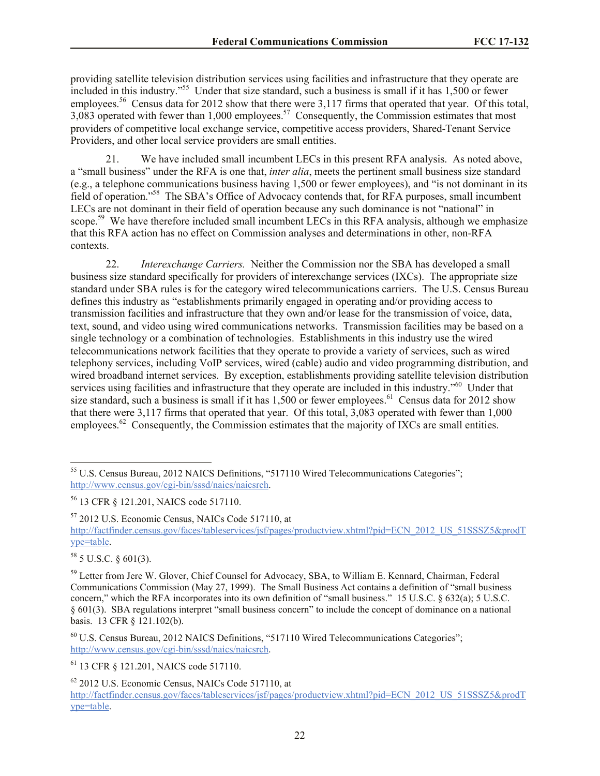providing satellite television distribution services using facilities and infrastructure that they operate are included in this industry."<sup>55</sup> Under that size standard, such a business is small if it has  $1,500$  or fewer employees.<sup>56</sup> Census data for 2012 show that there were 3,117 firms that operated that year. Of this total, 3,083 operated with fewer than 1,000 employees.<sup>57</sup> Consequently, the Commission estimates that most providers of competitive local exchange service, competitive access providers, Shared-Tenant Service Providers, and other local service providers are small entities.

21. We have included small incumbent LECs in this present RFA analysis. As noted above, a "small business" under the RFA is one that, *inter alia*, meets the pertinent small business size standard (e.g., a telephone communications business having 1,500 or fewer employees), and "is not dominant in its field of operation."<sup>58</sup> The SBA's Office of Advocacy contends that, for RFA purposes, small incumbent LECs are not dominant in their field of operation because any such dominance is not "national" in scope.<sup>59</sup> We have therefore included small incumbent LECs in this RFA analysis, although we emphasize that this RFA action has no effect on Commission analyses and determinations in other, non-RFA contexts.

22. *Interexchange Carriers.* Neither the Commission nor the SBA has developed a small business size standard specifically for providers of interexchange services (IXCs). The appropriate size standard under SBA rules is for the category wired telecommunications carriers. The U.S. Census Bureau defines this industry as "establishments primarily engaged in operating and/or providing access to transmission facilities and infrastructure that they own and/or lease for the transmission of voice, data, text, sound, and video using wired communications networks. Transmission facilities may be based on a single technology or a combination of technologies. Establishments in this industry use the wired telecommunications network facilities that they operate to provide a variety of services, such as wired telephony services, including VoIP services, wired (cable) audio and video programming distribution, and wired broadband internet services. By exception, establishments providing satellite television distribution services using facilities and infrastructure that they operate are included in this industry."<sup>60</sup> Under that size standard, such a business is small if it has  $1,500$  or fewer employees.<sup>61</sup> Census data for 2012 show that there were 3,117 firms that operated that year. Of this total, 3,083 operated with fewer than 1,000 employees.<sup>62</sup> Consequently, the Commission estimates that the majority of IXCs are small entities.

<sup>57</sup> 2012 U.S. Economic Census, NAICs Code 517110, at

http://factfinder.census.gov/faces/tableservices/jsf/pages/productview.xhtml?pid=ECN\_2012\_US\_51SSSZ5&prodT ype=table.

 $58$  5 U.S.C.  $\delta$  601(3).

 $\overline{a}$ 

<sup>&</sup>lt;sup>55</sup> U.S. Census Bureau, 2012 NAICS Definitions, "517110 Wired Telecommunications Categories"; http://www.census.gov/cgi-bin/sssd/naics/naicsrch.

<sup>56</sup> 13 CFR § 121.201, NAICS code 517110.

<sup>&</sup>lt;sup>59</sup> Letter from Jere W. Glover, Chief Counsel for Advocacy, SBA, to William E. Kennard, Chairman, Federal Communications Commission (May 27, 1999). The Small Business Act contains a definition of "small business concern," which the RFA incorporates into its own definition of "small business." 15 U.S.C. § 632(a); 5 U.S.C. § 601(3). SBA regulations interpret "small business concern" to include the concept of dominance on a national basis. 13 CFR § 121.102(b).

<sup>60</sup> U.S. Census Bureau, 2012 NAICS Definitions, "517110 Wired Telecommunications Categories"; http://www.census.gov/cgi-bin/sssd/naics/naicsrch.

<sup>61</sup> 13 CFR § 121.201, NAICS code 517110.

<sup>62</sup> 2012 U.S. Economic Census, NAICs Code 517110, at http://factfinder.census.gov/faces/tableservices/jsf/pages/productview.xhtml?pid=ECN\_2012\_US\_51SSSZ5&prodT ype=table.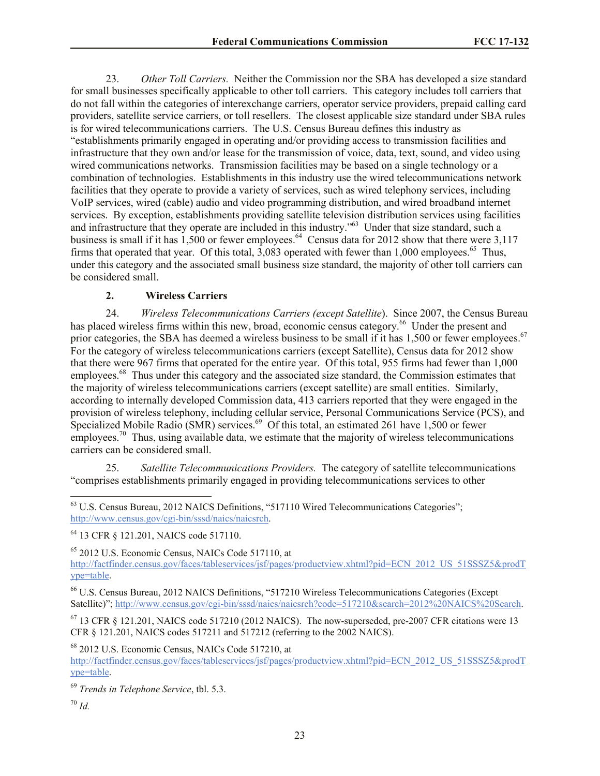23. *Other Toll Carriers.* Neither the Commission nor the SBA has developed a size standard for small businesses specifically applicable to other toll carriers. This category includes toll carriers that do not fall within the categories of interexchange carriers, operator service providers, prepaid calling card providers, satellite service carriers, or toll resellers. The closest applicable size standard under SBA rules is for wired telecommunications carriers. The U.S. Census Bureau defines this industry as "establishments primarily engaged in operating and/or providing access to transmission facilities and infrastructure that they own and/or lease for the transmission of voice, data, text, sound, and video using wired communications networks. Transmission facilities may be based on a single technology or a combination of technologies. Establishments in this industry use the wired telecommunications network facilities that they operate to provide a variety of services, such as wired telephony services, including VoIP services, wired (cable) audio and video programming distribution, and wired broadband internet services. By exception, establishments providing satellite television distribution services using facilities and infrastructure that they operate are included in this industry."<sup>63</sup> Under that size standard, such a business is small if it has  $1,500$  or fewer employees.<sup>64</sup> Census data for 2012 show that there were 3,117 firms that operated that year. Of this total,  $3,083$  operated with fewer than 1,000 employees.<sup>65</sup> Thus, under this category and the associated small business size standard, the majority of other toll carriers can be considered small.

## **2. Wireless Carriers**

24. *Wireless Telecommunications Carriers (except Satellite*). Since 2007, the Census Bureau has placed wireless firms within this new, broad, economic census category.<sup>66</sup> Under the present and prior categories, the SBA has deemed a wireless business to be small if it has 1,500 or fewer employees.<sup>67</sup> For the category of wireless telecommunications carriers (except Satellite), Census data for 2012 show that there were 967 firms that operated for the entire year. Of this total, 955 firms had fewer than 1,000 employees.<sup>68</sup> Thus under this category and the associated size standard, the Commission estimates that the majority of wireless telecommunications carriers (except satellite) are small entities. Similarly, according to internally developed Commission data, 413 carriers reported that they were engaged in the provision of wireless telephony, including cellular service, Personal Communications Service (PCS), and Specialized Mobile Radio (SMR) services.<sup>69</sup> Of this total, an estimated 261 have 1,500 or fewer  $\epsilon$ mployees.<sup>70</sup> Thus, using available data, we estimate that the majority of wireless telecommunications carriers can be considered small.

25. *Satellite Telecommunications Providers.* The category of satellite telecommunications "comprises establishments primarily engaged in providing telecommunications services to other

<sup>66</sup> U.S. Census Bureau, 2012 NAICS Definitions, "517210 Wireless Telecommunications Categories (Except Satellite)"; http://www.census.gov/cgi-bin/sssd/naics/naicsrch?code=517210&search=2012%20NAICS%20Search.

 $67$  13 CFR  $\&$  121.201, NAICS code 517210 (2012 NAICS). The now-superseded, pre-2007 CFR citations were 13 CFR § 121.201, NAICS codes 517211 and 517212 (referring to the 2002 NAICS).

<sup>68</sup> 2012 U.S. Economic Census, NAICs Code 517210, at

http://factfinder.census.gov/faces/tableservices/jsf/pages/productview.xhtml?pid=ECN\_2012\_US\_51SSSZ5&prodT ype=table.

<sup>69</sup> *Trends in Telephone Service*, tbl. 5.3.

<sup>70</sup> *Id.*

 $\overline{\phantom{a}}$ 

<sup>&</sup>lt;sup>63</sup> U.S. Census Bureau, 2012 NAICS Definitions, "517110 Wired Telecommunications Categories"; http://www.census.gov/cgi-bin/sssd/naics/naicsrch.

<sup>64</sup> 13 CFR § 121.201, NAICS code 517110.

<sup>65</sup> 2012 U.S. Economic Census, NAICs Code 517110, at

http://factfinder.census.gov/faces/tableservices/jsf/pages/productview.xhtml?pid=ECN\_2012\_US\_51SSSZ5&prodT ype=table.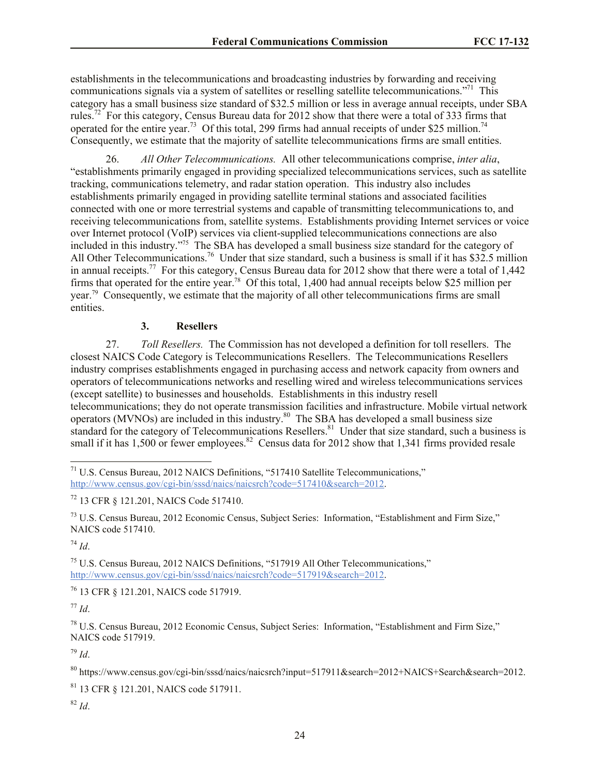establishments in the telecommunications and broadcasting industries by forwarding and receiving communications signals via a system of satellites or reselling satellite telecommunications."<sup>71</sup> This category has a small business size standard of \$32.5 million or less in average annual receipts, under SBA rules.<sup>72</sup> For this category, Census Bureau data for 2012 show that there were a total of 333 firms that operated for the entire year.<sup>73</sup> Of this total, 299 firms had annual receipts of under \$25 million.<sup>74</sup> Consequently, we estimate that the majority of satellite telecommunications firms are small entities.

26. *All Other Telecommunications.* All other telecommunications comprise, *inter alia*, "establishments primarily engaged in providing specialized telecommunications services, such as satellite tracking, communications telemetry, and radar station operation. This industry also includes establishments primarily engaged in providing satellite terminal stations and associated facilities connected with one or more terrestrial systems and capable of transmitting telecommunications to, and receiving telecommunications from, satellite systems. Establishments providing Internet services or voice over Internet protocol (VoIP) services via client-supplied telecommunications connections are also included in this industry."<sup>75</sup> The SBA has developed a small business size standard for the category of All Other Telecommunications.<sup>76</sup> Under that size standard, such a business is small if it has \$32.5 million in annual receipts.<sup>77</sup> For this category, Census Bureau data for 2012 show that there were a total of 1,442 firms that operated for the entire year.<sup>78</sup> Of this total, 1,400 had annual receipts below \$25 million per year.<sup>79</sup> Consequently, we estimate that the majority of all other telecommunications firms are small entities.

## **3. Resellers**

27. *Toll Resellers.* The Commission has not developed a definition for toll resellers. The closest NAICS Code Category is Telecommunications Resellers. The Telecommunications Resellers industry comprises establishments engaged in purchasing access and network capacity from owners and operators of telecommunications networks and reselling wired and wireless telecommunications services (except satellite) to businesses and households. Establishments in this industry resell telecommunications; they do not operate transmission facilities and infrastructure. Mobile virtual network operators (MVNOs) are included in this industry.<sup>80</sup> The SBA has developed a small business size standard for the category of Telecommunications Resellers.<sup>81</sup> Under that size standard, such a business is small if it has  $1,500$  or fewer employees.<sup>82</sup> Census data for 2012 show that 1,341 firms provided resale

<sup>73</sup> U.S. Census Bureau, 2012 Economic Census, Subject Series: Information, "Establishment and Firm Size," NAICS code 517410.

<sup>74</sup> *Id*.

 $\overline{\phantom{a}}$ 

<sup>75</sup> U.S. Census Bureau, 2012 NAICS Definitions, "517919 All Other Telecommunications," http://www.census.gov/cgi-bin/sssd/naics/naicsrch?code=517919&search=2012.

<sup>76</sup> 13 CFR § 121.201, NAICS code 517919.

<sup>77</sup> *Id*.

<sup>78</sup> U.S. Census Bureau, 2012 Economic Census, Subject Series: Information, "Establishment and Firm Size," NAICS code 517919.

<sup>79</sup> *Id*.

<sup>80</sup> https://www.census.gov/cgi-bin/sssd/naics/naicsrch?input=517911&search=2012+NAICS+Search&search=2012.

<sup>81</sup> 13 CFR § 121.201, NAICS code 517911.

 $82$  *Id.* 

<sup>&</sup>lt;sup>71</sup> U.S. Census Bureau, 2012 NAICS Definitions, "517410 Satellite Telecommunications," http://www.census.gov/cgi-bin/sssd/naics/naicsrch?code=517410&search=2012.

<sup>72</sup> 13 CFR § 121.201, NAICS Code 517410.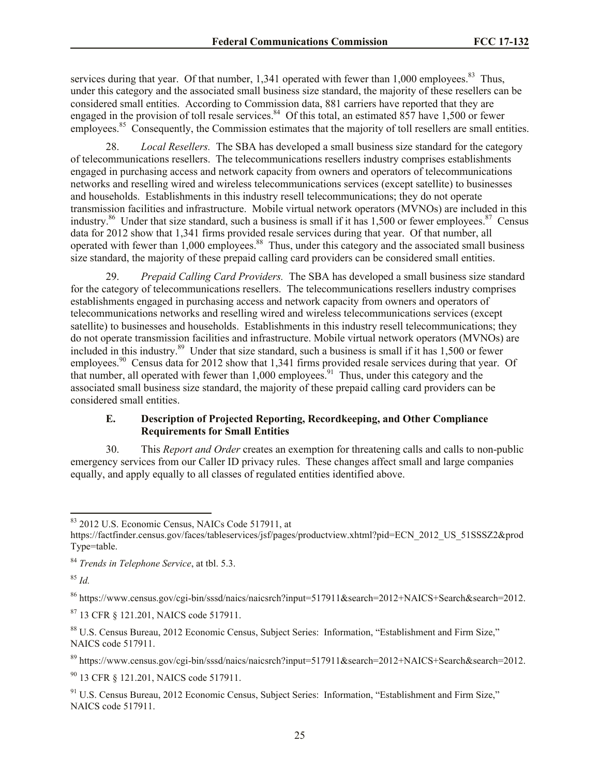services during that year. Of that number,  $1,341$  operated with fewer than  $1,000$  employees.<sup>83</sup> Thus, under this category and the associated small business size standard, the majority of these resellers can be considered small entities. According to Commission data, 881 carriers have reported that they are engaged in the provision of toll resale services.<sup>84</sup> Of this total, an estimated 857 have 1,500 or fewer employees.<sup>85</sup> Consequently, the Commission estimates that the majority of toll resellers are small entities.

28. *Local Resellers.* The SBA has developed a small business size standard for the category of telecommunications resellers. The telecommunications resellers industry comprises establishments engaged in purchasing access and network capacity from owners and operators of telecommunications networks and reselling wired and wireless telecommunications services (except satellite) to businesses and households. Establishments in this industry resell telecommunications; they do not operate transmission facilities and infrastructure. Mobile virtual network operators (MVNOs) are included in this industry.<sup>86</sup> Under that size standard, such a business is small if it has 1,500 or fewer employees.<sup>87</sup> Census data for 2012 show that 1,341 firms provided resale services during that year. Of that number, all operated with fewer than 1,000 employees.<sup>88</sup> Thus, under this category and the associated small business size standard, the majority of these prepaid calling card providers can be considered small entities.

29. *Prepaid Calling Card Providers.* The SBA has developed a small business size standard for the category of telecommunications resellers. The telecommunications resellers industry comprises establishments engaged in purchasing access and network capacity from owners and operators of telecommunications networks and reselling wired and wireless telecommunications services (except satellite) to businesses and households. Establishments in this industry resell telecommunications; they do not operate transmission facilities and infrastructure. Mobile virtual network operators (MVNOs) are included in this industry.<sup>89</sup> Under that size standard, such a business is small if it has 1,500 or fewer employees.<sup>90</sup> Census data for 2012 show that 1,341 firms provided resale services during that year. Of that number, all operated with fewer than  $1,000$  employees.<sup>91</sup> Thus, under this category and the associated small business size standard, the majority of these prepaid calling card providers can be considered small entities.

## **E. Description of Projected Reporting, Recordkeeping, and Other Compliance Requirements for Small Entities**

30. This *Report and Order* creates an exemption for threatening calls and calls to non-public emergency services from our Caller ID privacy rules. These changes affect small and large companies equally, and apply equally to all classes of regulated entities identified above.

<sup>85</sup> *Id.*

 $\overline{\phantom{a}}$ 

<sup>86</sup> https://www.census.gov/cgi-bin/sssd/naics/naicsrch?input=517911&search=2012+NAICS+Search&search=2012.

<sup>87</sup> 13 CFR § 121.201, NAICS code 517911.

<sup>88</sup> U.S. Census Bureau, 2012 Economic Census, Subject Series: Information, "Establishment and Firm Size," NAICS code 517911.

<sup>89</sup> https://www.census.gov/cgi-bin/sssd/naics/naicsrch?input=517911&search=2012+NAICS+Search&search=2012.

<sup>90</sup> 13 CFR § 121.201, NAICS code 517911.

<sup>91</sup> U.S. Census Bureau, 2012 Economic Census, Subject Series: Information, "Establishment and Firm Size," NAICS code 517911.

<sup>83</sup> 2012 U.S. Economic Census, NAICs Code 517911, at

https://factfinder.census.gov/faces/tableservices/jsf/pages/productview.xhtml?pid=ECN\_2012\_US\_51SSSZ2&prod Type=table.

<sup>84</sup> *Trends in Telephone Service*, at tbl. 5.3.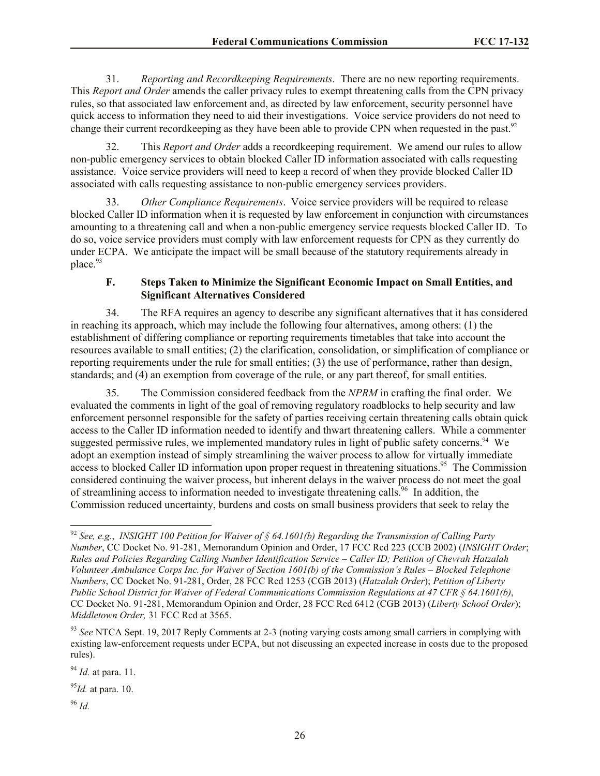31. *Reporting and Recordkeeping Requirements*. There are no new reporting requirements. This *Report and Order* amends the caller privacy rules to exempt threatening calls from the CPN privacy rules, so that associated law enforcement and, as directed by law enforcement, security personnel have quick access to information they need to aid their investigations. Voice service providers do not need to change their current recordkeeping as they have been able to provide CPN when requested in the past.<sup>92</sup>

32. This *Report and Order* adds a recordkeeping requirement. We amend our rules to allow non-public emergency services to obtain blocked Caller ID information associated with calls requesting assistance. Voice service providers will need to keep a record of when they provide blocked Caller ID associated with calls requesting assistance to non-public emergency services providers.

33. *Other Compliance Requirements*. Voice service providers will be required to release blocked Caller ID information when it is requested by law enforcement in conjunction with circumstances amounting to a threatening call and when a non-public emergency service requests blocked Caller ID. To do so, voice service providers must comply with law enforcement requests for CPN as they currently do under ECPA. We anticipate the impact will be small because of the statutory requirements already in place.<sup>93</sup>

## **F. Steps Taken to Minimize the Significant Economic Impact on Small Entities, and Significant Alternatives Considered**

34. The RFA requires an agency to describe any significant alternatives that it has considered in reaching its approach, which may include the following four alternatives, among others: (1) the establishment of differing compliance or reporting requirements timetables that take into account the resources available to small entities; (2) the clarification, consolidation, or simplification of compliance or reporting requirements under the rule for small entities; (3) the use of performance, rather than design, standards; and (4) an exemption from coverage of the rule, or any part thereof, for small entities.

35. The Commission considered feedback from the *NPRM* in crafting the final order. We evaluated the comments in light of the goal of removing regulatory roadblocks to help security and law enforcement personnel responsible for the safety of parties receiving certain threatening calls obtain quick access to the Caller ID information needed to identify and thwart threatening callers. While a commenter suggested permissive rules, we implemented mandatory rules in light of public safety concerns.<sup>94</sup> We adopt an exemption instead of simply streamlining the waiver process to allow for virtually immediate access to blocked Caller ID information upon proper request in threatening situations.<sup>95</sup> The Commission considered continuing the waiver process, but inherent delays in the waiver process do not meet the goal of streamlining access to information needed to investigate threatening calls.<sup>96</sup> In addition, the Commission reduced uncertainty, burdens and costs on small business providers that seek to relay the

 $\overline{a}$ <sup>92</sup> *See, e.g.*, *INSIGHT 100 Petition for Waiver of § 64.1601(b) Regarding the Transmission of Calling Party Number*, CC Docket No. 91-281, Memorandum Opinion and Order, 17 FCC Rcd 223 (CCB 2002) (*INSIGHT Order*; *Rules and Policies Regarding Calling Number Identification Service – Caller ID; Petition of Chevrah Hatzalah Volunteer Ambulance Corps Inc. for Waiver of Section 1601(b) of the Commission's Rules – Blocked Telephone Numbers*, CC Docket No. 91-281, Order, 28 FCC Rcd 1253 (CGB 2013) (*Hatzalah Order*); *Petition of Liberty Public School District for Waiver of Federal Communications Commission Regulations at 47 CFR § 64.1601(b)*, CC Docket No. 91-281, Memorandum Opinion and Order, 28 FCC Rcd 6412 (CGB 2013) (*Liberty School Order*); *Middletown Order,* 31 FCC Rcd at 3565.

<sup>&</sup>lt;sup>93</sup> See NTCA Sept. 19, 2017 Reply Comments at 2-3 (noting varying costs among small carriers in complying with existing law-enforcement requests under ECPA, but not discussing an expected increase in costs due to the proposed rules).

<sup>94</sup> *Id.* at para. 11.

<sup>95</sup>*Id.* at para. 10.

<sup>96</sup> *Id.*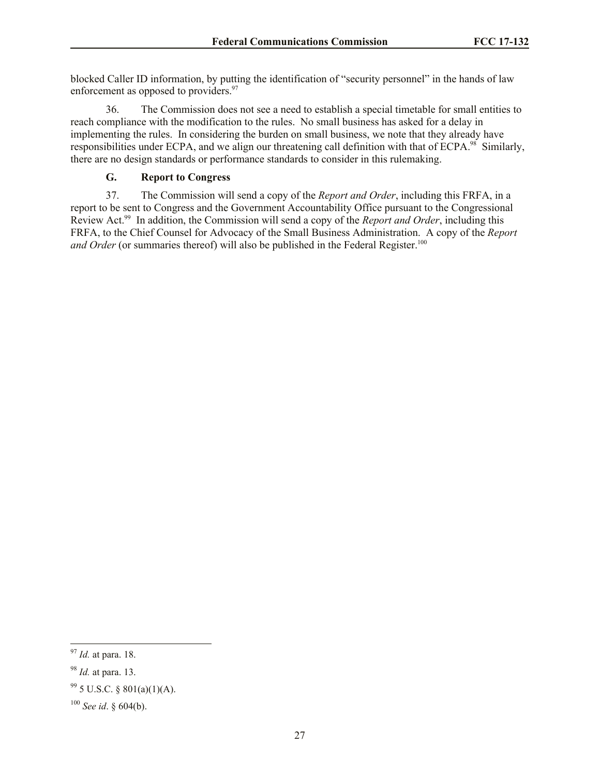blocked Caller ID information, by putting the identification of "security personnel" in the hands of law enforcement as opposed to providers.<sup>97</sup>

36. The Commission does not see a need to establish a special timetable for small entities to reach compliance with the modification to the rules. No small business has asked for a delay in implementing the rules. In considering the burden on small business, we note that they already have responsibilities under ECPA, and we align our threatening call definition with that of ECPA.<sup>98</sup> Similarly, there are no design standards or performance standards to consider in this rulemaking.

# **G. Report to Congress**

37. The Commission will send a copy of the *Report and Order*, including this FRFA, in a report to be sent to Congress and the Government Accountability Office pursuant to the Congressional Review Act.<sup>99</sup> In addition, the Commission will send a copy of the *Report and Order*, including this FRFA, to the Chief Counsel for Advocacy of the Small Business Administration. A copy of the *Report and Order* (or summaries thereof) will also be published in the Federal Register.<sup>100</sup>

 $\overline{\phantom{a}}$ 

<sup>97</sup> *Id.* at para. 18.

<sup>98</sup> *Id.* at para. 13.

 $995$  U.S.C. § 801(a)(1)(A).

<sup>100</sup> *See id*. § 604(b).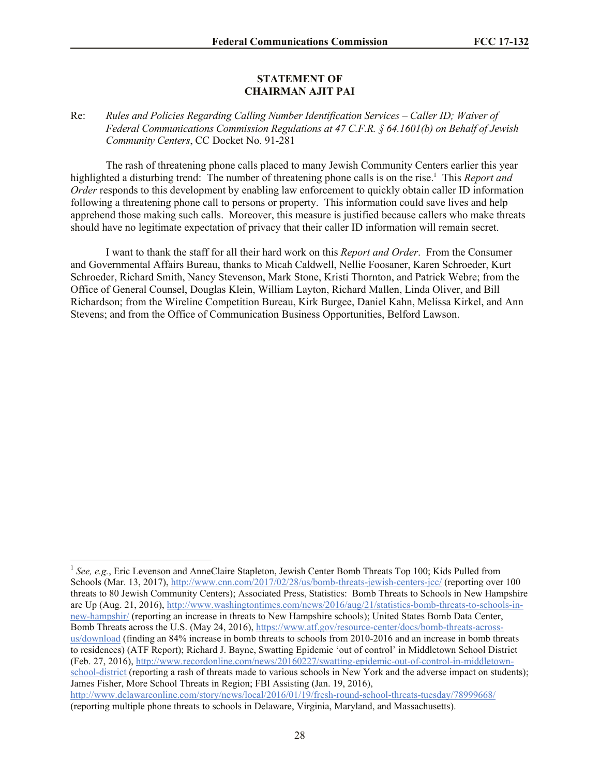## **STATEMENT OF CHAIRMAN AJIT PAI**

## Re: *Rules and Policies Regarding Calling Number Identification Services – Caller ID; Waiver of Federal Communications Commission Regulations at 47 C.F.R. § 64.1601(b) on Behalf of Jewish Community Centers*, CC Docket No. 91-281

The rash of threatening phone calls placed to many Jewish Community Centers earlier this year highlighted a disturbing trend: The number of threatening phone calls is on the rise.<sup>1</sup> This *Report and Order* responds to this development by enabling law enforcement to quickly obtain caller ID information following a threatening phone call to persons or property. This information could save lives and help apprehend those making such calls. Moreover, this measure is justified because callers who make threats should have no legitimate expectation of privacy that their caller ID information will remain secret.

I want to thank the staff for all their hard work on this *Report and Order*. From the Consumer and Governmental Affairs Bureau, thanks to Micah Caldwell, Nellie Foosaner, Karen Schroeder, Kurt Schroeder, Richard Smith, Nancy Stevenson, Mark Stone, Kristi Thornton, and Patrick Webre; from the Office of General Counsel, Douglas Klein, William Layton, Richard Mallen, Linda Oliver, and Bill Richardson; from the Wireline Competition Bureau, Kirk Burgee, Daniel Kahn, Melissa Kirkel, and Ann Stevens; and from the Office of Communication Business Opportunities, Belford Lawson.

l

<sup>&</sup>lt;sup>1</sup> See, e.g., Eric Levenson and AnneClaire Stapleton, Jewish Center Bomb Threats Top 100; Kids Pulled from Schools (Mar. 13, 2017), http://www.cnn.com/2017/02/28/us/bomb-threats-jewish-centers-jcc/ (reporting over 100 threats to 80 Jewish Community Centers); Associated Press, Statistics: Bomb Threats to Schools in New Hampshire are Up (Aug. 21, 2016), http://www.washingtontimes.com/news/2016/aug/21/statistics-bomb-threats-to-schools-innew-hampshir/ (reporting an increase in threats to New Hampshire schools); United States Bomb Data Center, Bomb Threats across the U.S. (May 24, 2016), https://www.atf.gov/resource-center/docs/bomb-threats-acrossus/download (finding an 84% increase in bomb threats to schools from 2010-2016 and an increase in bomb threats to residences) (ATF Report); Richard J. Bayne, Swatting Epidemic 'out of control' in Middletown School District (Feb. 27, 2016), http://www.recordonline.com/news/20160227/swatting-epidemic-out-of-control-in-middletownschool-district (reporting a rash of threats made to various schools in New York and the adverse impact on students); James Fisher, More School Threats in Region; FBI Assisting (Jan. 19, 2016), http://www.delawareonline.com/story/news/local/2016/01/19/fresh-round-school-threats-tuesday/78999668/ (reporting multiple phone threats to schools in Delaware, Virginia, Maryland, and Massachusetts).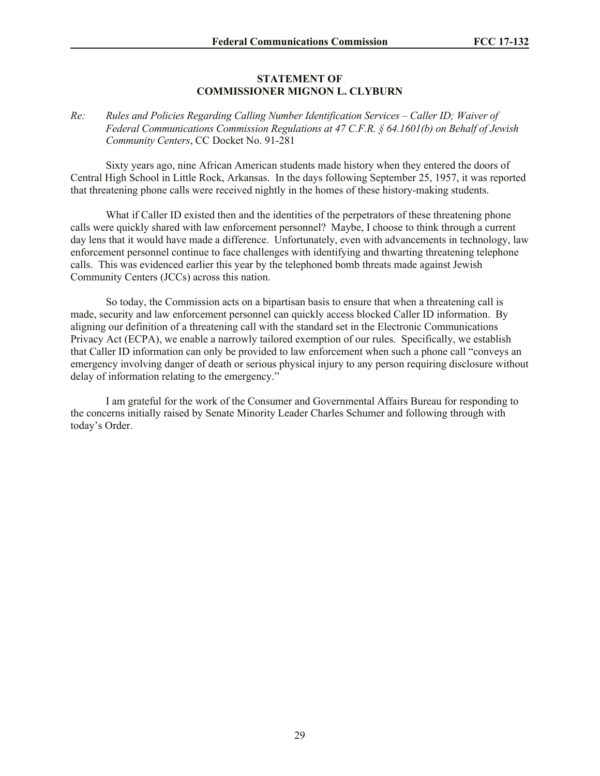## **STATEMENT OF COMMISSIONER MIGNON L. CLYBURN**

## *Re: Rules and Policies Regarding Calling Number Identification Services – Caller ID; Waiver of Federal Communications Commission Regulations at 47 C.F.R. § 64.1601(b) on Behalf of Jewish Community Centers*, CC Docket No. 91-281

Sixty years ago, nine African American students made history when they entered the doors of Central High School in Little Rock, Arkansas. In the days following September 25, 1957, it was reported that threatening phone calls were received nightly in the homes of these history-making students.

What if Caller ID existed then and the identities of the perpetrators of these threatening phone calls were quickly shared with law enforcement personnel? Maybe, I choose to think through a current day lens that it would have made a difference. Unfortunately, even with advancements in technology, law enforcement personnel continue to face challenges with identifying and thwarting threatening telephone calls. This was evidenced earlier this year by the telephoned bomb threats made against Jewish Community Centers (JCCs) across this nation.

So today, the Commission acts on a bipartisan basis to ensure that when a threatening call is made, security and law enforcement personnel can quickly access blocked Caller ID information. By aligning our definition of a threatening call with the standard set in the Electronic Communications Privacy Act (ECPA), we enable a narrowly tailored exemption of our rules. Specifically, we establish that Caller ID information can only be provided to law enforcement when such a phone call "conveys an emergency involving danger of death or serious physical injury to any person requiring disclosure without delay of information relating to the emergency."

I am grateful for the work of the Consumer and Governmental Affairs Bureau for responding to the concerns initially raised by Senate Minority Leader Charles Schumer and following through with today's Order.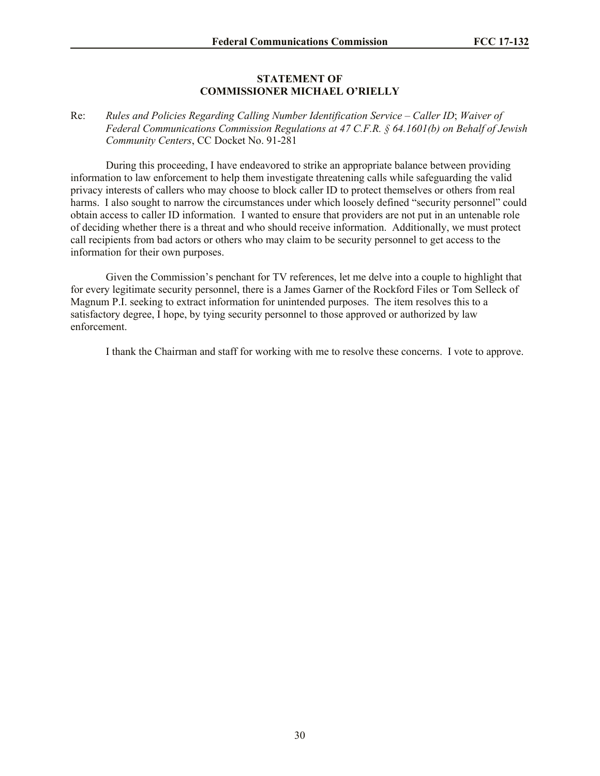## **STATEMENT OF COMMISSIONER MICHAEL O'RIELLY**

## Re: *Rules and Policies Regarding Calling Number Identification Service – Caller ID*; *Waiver of Federal Communications Commission Regulations at 47 C.F.R. § 64.1601(b) on Behalf of Jewish Community Centers*, CC Docket No. 91-281

During this proceeding, I have endeavored to strike an appropriate balance between providing information to law enforcement to help them investigate threatening calls while safeguarding the valid privacy interests of callers who may choose to block caller ID to protect themselves or others from real harms. I also sought to narrow the circumstances under which loosely defined "security personnel" could obtain access to caller ID information. I wanted to ensure that providers are not put in an untenable role of deciding whether there is a threat and who should receive information. Additionally, we must protect call recipients from bad actors or others who may claim to be security personnel to get access to the information for their own purposes.

Given the Commission's penchant for TV references, let me delve into a couple to highlight that for every legitimate security personnel, there is a James Garner of the Rockford Files or Tom Selleck of Magnum P.I. seeking to extract information for unintended purposes. The item resolves this to a satisfactory degree, I hope, by tying security personnel to those approved or authorized by law enforcement.

I thank the Chairman and staff for working with me to resolve these concerns. I vote to approve.